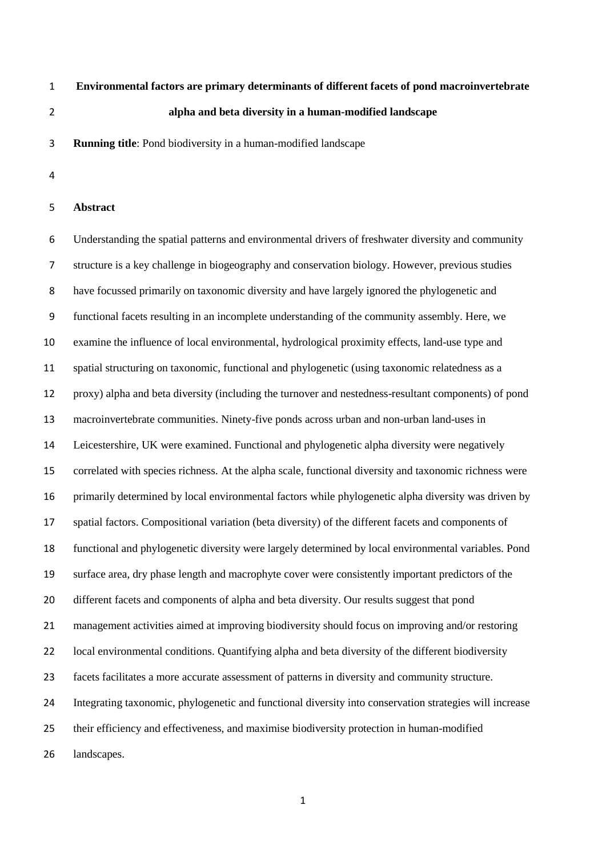# **Environmental factors are primary determinants of different facets of pond macroinvertebrate alpha and beta diversity in a human-modified landscape**

**Running title**: Pond biodiversity in a human-modified landscape

## **Abstract**

 Understanding the spatial patterns and environmental drivers of freshwater diversity and community structure is a key challenge in biogeography and conservation biology. However, previous studies have focussed primarily on taxonomic diversity and have largely ignored the phylogenetic and functional facets resulting in an incomplete understanding of the community assembly. Here, we examine the influence of local environmental, hydrological proximity effects, land-use type and spatial structuring on taxonomic, functional and phylogenetic (using taxonomic relatedness as a proxy) alpha and beta diversity (including the turnover and nestedness-resultant components) of pond macroinvertebrate communities. Ninety-five ponds across urban and non-urban land-uses in Leicestershire, UK were examined. Functional and phylogenetic alpha diversity were negatively correlated with species richness. At the alpha scale, functional diversity and taxonomic richness were primarily determined by local environmental factors while phylogenetic alpha diversity was driven by spatial factors. Compositional variation (beta diversity) of the different facets and components of functional and phylogenetic diversity were largely determined by local environmental variables. Pond surface area, dry phase length and macrophyte cover were consistently important predictors of the different facets and components of alpha and beta diversity. Our results suggest that pond management activities aimed at improving biodiversity should focus on improving and/or restoring local environmental conditions. Quantifying alpha and beta diversity of the different biodiversity facets facilitates a more accurate assessment of patterns in diversity and community structure. Integrating taxonomic, phylogenetic and functional diversity into conservation strategies will increase their efficiency and effectiveness, and maximise biodiversity protection in human-modified landscapes.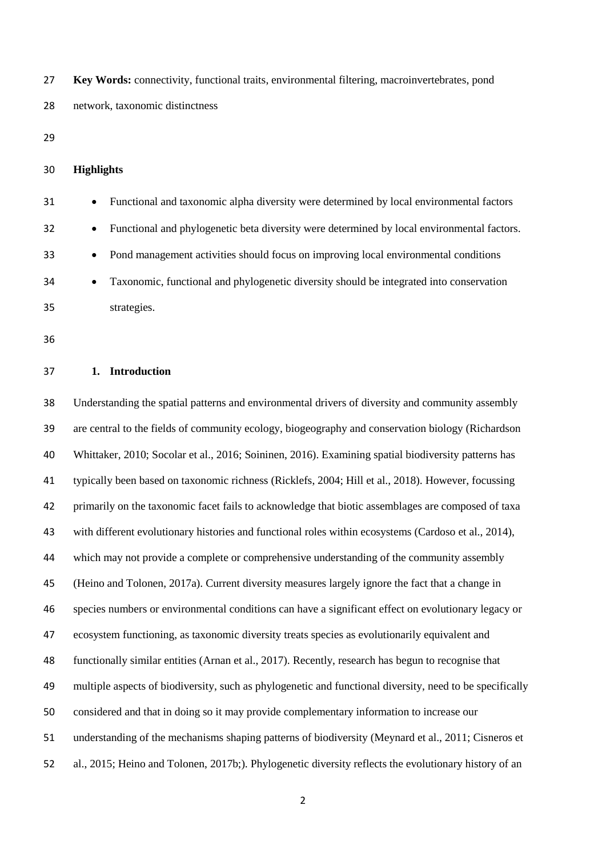**Key Words:** connectivity, functional traits, environmental filtering, macroinvertebrates, pond network, taxonomic distinctness

- 
- **Highlights**

| 31 | $\bullet$ | Functional and taxonomic alpha diversity were determined by local environmental factors    |
|----|-----------|--------------------------------------------------------------------------------------------|
| 32 | $\bullet$ | Functional and phylogenetic beta diversity were determined by local environmental factors. |
| 33 | $\bullet$ | Pond management activities should focus on improving local environmental conditions        |
| 34 | $\bullet$ | Taxonomic, functional and phylogenetic diversity should be integrated into conservation    |
| 35 |           | strategies.                                                                                |

#### **1. Introduction**

 Understanding the spatial patterns and environmental drivers of diversity and community assembly are central to the fields of community ecology, biogeography and conservation biology (Richardson Whittaker, 2010; Socolar et al., 2016; Soininen, 2016). Examining spatial biodiversity patterns has typically been based on taxonomic richness (Ricklefs, 2004; Hill et al., 2018). However, focussing primarily on the taxonomic facet fails to acknowledge that biotic assemblages are composed of taxa with different evolutionary histories and functional roles within ecosystems (Cardoso et al., 2014), which may not provide a complete or comprehensive understanding of the community assembly (Heino and Tolonen, 2017a). Current diversity measures largely ignore the fact that a change in species numbers or environmental conditions can have a significant effect on evolutionary legacy or ecosystem functioning, as taxonomic diversity treats species as evolutionarily equivalent and functionally similar entities (Arnan et al., 2017). Recently, research has begun to recognise that multiple aspects of biodiversity, such as phylogenetic and functional diversity, need to be specifically considered and that in doing so it may provide complementary information to increase our understanding of the mechanisms shaping patterns of biodiversity (Meynard et al., 2011; Cisneros et al., 2015; Heino and Tolonen, 2017b;). Phylogenetic diversity reflects the evolutionary history of an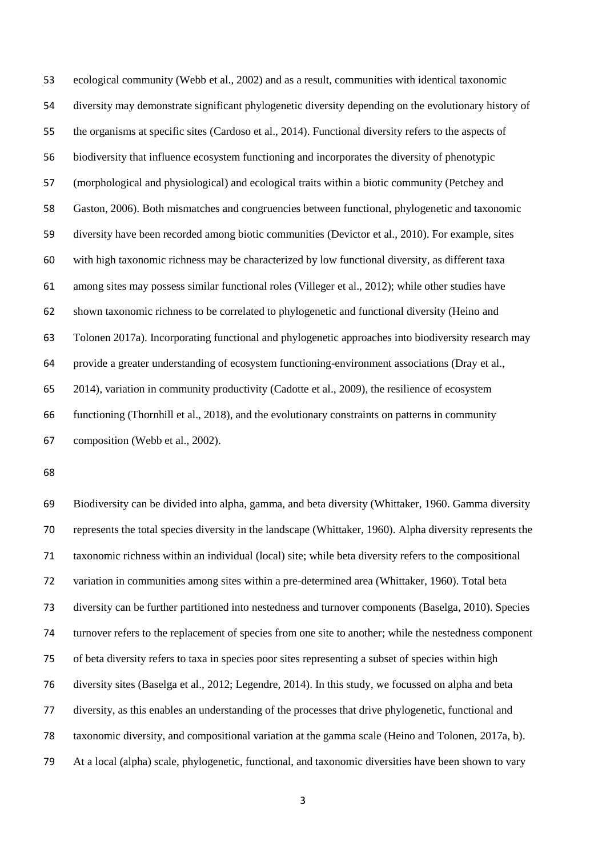ecological community (Webb et al., 2002) and as a result, communities with identical taxonomic diversity may demonstrate significant phylogenetic diversity depending on the evolutionary history of the organisms at specific sites (Cardoso et al., 2014). Functional diversity refers to the aspects of biodiversity that influence ecosystem functioning and incorporates the diversity of phenotypic (morphological and physiological) and ecological traits within a biotic community (Petchey and Gaston, 2006). Both mismatches and congruencies between functional, phylogenetic and taxonomic diversity have been recorded among biotic communities (Devictor et al., 2010). For example, sites with high taxonomic richness may be characterized by low functional diversity, as different taxa among sites may possess similar functional roles (Villeger et al., 2012); while other studies have shown taxonomic richness to be correlated to phylogenetic and functional diversity (Heino and Tolonen 2017a). Incorporating functional and phylogenetic approaches into biodiversity research may provide a greater understanding of ecosystem functioning-environment associations (Dray et al., 2014), variation in community productivity (Cadotte et al., 2009), the resilience of ecosystem functioning (Thornhill et al., 2018), and the evolutionary constraints on patterns in community composition (Webb et al., 2002).

 Biodiversity can be divided into alpha, gamma, and beta diversity (Whittaker, 1960. Gamma diversity represents the total species diversity in the landscape (Whittaker, 1960). Alpha diversity represents the taxonomic richness within an individual (local) site; while beta diversity refers to the compositional variation in communities among sites within a pre-determined area (Whittaker, 1960). Total beta diversity can be further partitioned into nestedness and turnover components (Baselga, 2010). Species turnover refers to the replacement of species from one site to another; while the nestedness component of beta diversity refers to taxa in species poor sites representing a subset of species within high diversity sites (Baselga et al., 2012; Legendre, 2014). In this study, we focussed on alpha and beta diversity, as this enables an understanding of the processes that drive phylogenetic, functional and taxonomic diversity, and compositional variation at the gamma scale (Heino and Tolonen, 2017a, b). At a local (alpha) scale, phylogenetic, functional, and taxonomic diversities have been shown to vary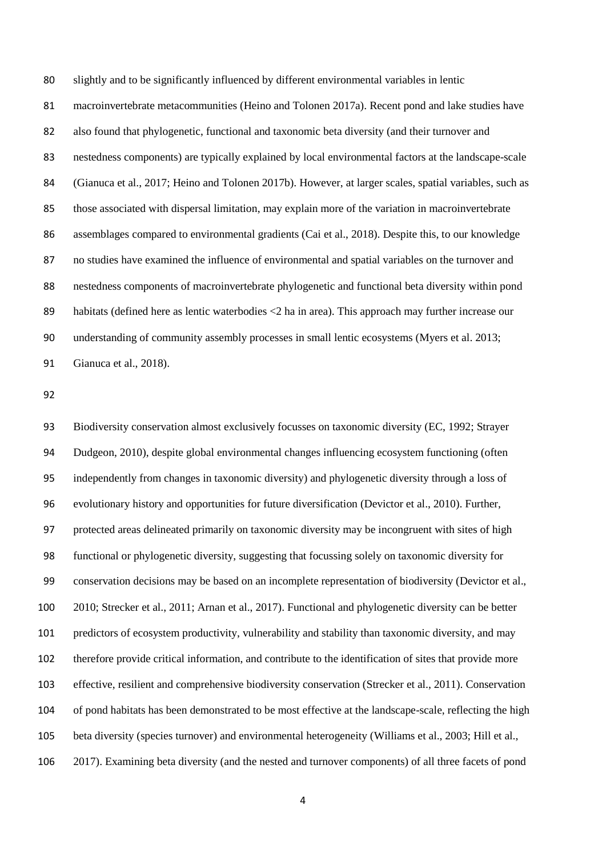slightly and to be significantly influenced by different environmental variables in lentic macroinvertebrate metacommunities (Heino and Tolonen 2017a). Recent pond and lake studies have also found that phylogenetic, functional and taxonomic beta diversity (and their turnover and nestedness components) are typically explained by local environmental factors at the landscape-scale (Gianuca et al., 2017; Heino and Tolonen 2017b). However, at larger scales, spatial variables, such as those associated with dispersal limitation, may explain more of the variation in macroinvertebrate assemblages compared to environmental gradients (Cai et al., 2018). Despite this, to our knowledge no studies have examined the influence of environmental and spatial variables on the turnover and nestedness components of macroinvertebrate phylogenetic and functional beta diversity within pond habitats (defined here as lentic waterbodies <2 ha in area). This approach may further increase our understanding of community assembly processes in small lentic ecosystems (Myers et al. 2013; Gianuca et al., 2018).

 Biodiversity conservation almost exclusively focusses on taxonomic diversity (EC, 1992; Strayer Dudgeon, 2010), despite global environmental changes influencing ecosystem functioning (often independently from changes in taxonomic diversity) and phylogenetic diversity through a loss of evolutionary history and opportunities for future diversification (Devictor et al., 2010). Further, protected areas delineated primarily on taxonomic diversity may be incongruent with sites of high functional or phylogenetic diversity, suggesting that focussing solely on taxonomic diversity for conservation decisions may be based on an incomplete representation of biodiversity (Devictor et al., 2010; Strecker et al., 2011; Arnan et al., 2017). Functional and phylogenetic diversity can be better predictors of ecosystem productivity, vulnerability and stability than taxonomic diversity, and may therefore provide critical information, and contribute to the identification of sites that provide more effective, resilient and comprehensive biodiversity conservation (Strecker et al., 2011). Conservation of pond habitats has been demonstrated to be most effective at the landscape-scale, reflecting the high beta diversity (species turnover) and environmental heterogeneity (Williams et al., 2003; Hill et al., 2017). Examining beta diversity (and the nested and turnover components) of all three facets of pond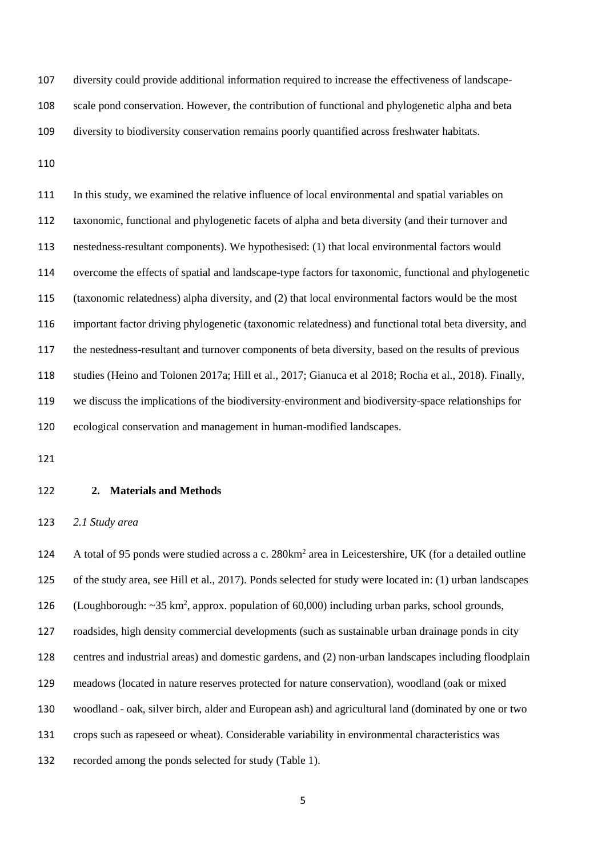diversity could provide additional information required to increase the effectiveness of landscape- scale pond conservation. However, the contribution of functional and phylogenetic alpha and beta diversity to biodiversity conservation remains poorly quantified across freshwater habitats.

 In this study, we examined the relative influence of local environmental and spatial variables on taxonomic, functional and phylogenetic facets of alpha and beta diversity (and their turnover and nestedness-resultant components). We hypothesised: (1) that local environmental factors would overcome the effects of spatial and landscape-type factors for taxonomic, functional and phylogenetic (taxonomic relatedness) alpha diversity, and (2) that local environmental factors would be the most important factor driving phylogenetic (taxonomic relatedness) and functional total beta diversity, and the nestedness-resultant and turnover components of beta diversity, based on the results of previous studies (Heino and Tolonen 2017a; Hill et al., 2017; Gianuca et al 2018; Rocha et al., 2018). Finally, we discuss the implications of the biodiversity-environment and biodiversity-space relationships for ecological conservation and management in human-modified landscapes.

### **2. Materials and Methods**

*2.1 Study area*

124 A total of 95 ponds were studied across a c. 280km<sup>2</sup> area in Leicestershire, UK (for a detailed outline of the study area, see Hill et al., 2017). Ponds selected for study were located in: (1) urban landscapes 126 (Loughborough:  $\sim$ 35 km<sup>2</sup>, approx. population of 60,000) including urban parks, school grounds, roadsides, high density commercial developments (such as sustainable urban drainage ponds in city centres and industrial areas) and domestic gardens, and (2) non-urban landscapes including floodplain meadows (located in nature reserves protected for nature conservation), woodland (oak or mixed woodland - oak, silver birch, alder and European ash) and agricultural land (dominated by one or two crops such as rapeseed or wheat). Considerable variability in environmental characteristics was recorded among the ponds selected for study (Table 1).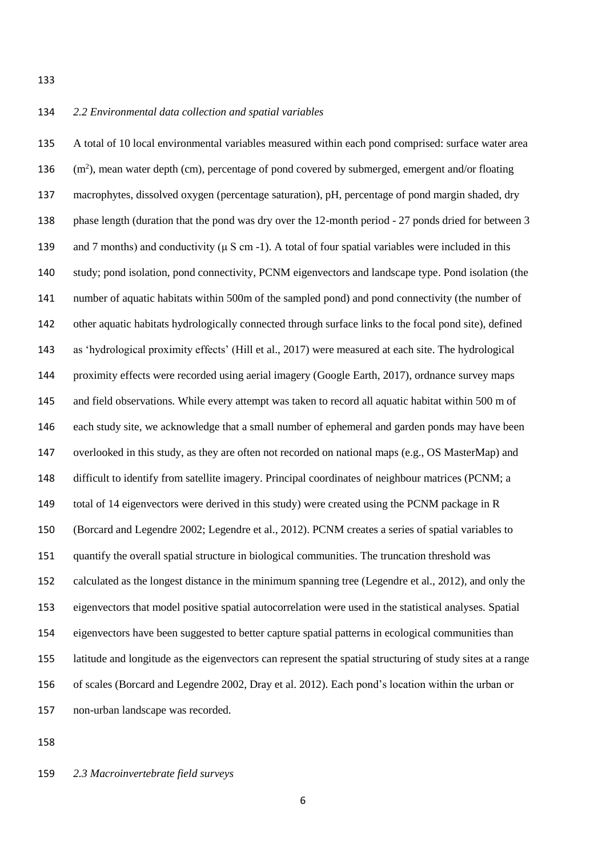#### 

### *2.2 Environmental data collection and spatial variables*

 A total of 10 local environmental variables measured within each pond comprised: surface water area (m<sup>2</sup>), mean water depth (cm), percentage of pond covered by submerged, emergent and/or floating macrophytes, dissolved oxygen (percentage saturation), pH, percentage of pond margin shaded, dry phase length (duration that the pond was dry over the 12-month period - 27 ponds dried for between 3 and 7 months) and conductivity (μ S cm -1). A total of four spatial variables were included in this study; pond isolation, pond connectivity, PCNM eigenvectors and landscape type. Pond isolation (the number of aquatic habitats within 500m of the sampled pond) and pond connectivity (the number of other aquatic habitats hydrologically connected through surface links to the focal pond site), defined as 'hydrological proximity effects' (Hill et al., 2017) were measured at each site. The hydrological proximity effects were recorded using aerial imagery (Google Earth, 2017), ordnance survey maps and field observations. While every attempt was taken to record all aquatic habitat within 500 m of each study site, we acknowledge that a small number of ephemeral and garden ponds may have been overlooked in this study, as they are often not recorded on national maps (e.g., OS MasterMap) and difficult to identify from satellite imagery. Principal coordinates of neighbour matrices (PCNM; a total of 14 eigenvectors were derived in this study) were created using the PCNM package in R (Borcard and Legendre 2002; Legendre et al., 2012). PCNM creates a series of spatial variables to quantify the overall spatial structure in biological communities. The truncation threshold was calculated as the longest distance in the minimum spanning tree (Legendre et al., 2012), and only the eigenvectors that model positive spatial autocorrelation were used in the statistical analyses. Spatial eigenvectors have been suggested to better capture spatial patterns in ecological communities than latitude and longitude as the eigenvectors can represent the spatial structuring of study sites at a range of scales (Borcard and Legendre 2002, Dray et al. 2012). Each pond's location within the urban or non-urban landscape was recorded.

## *2.3 Macroinvertebrate field surveys*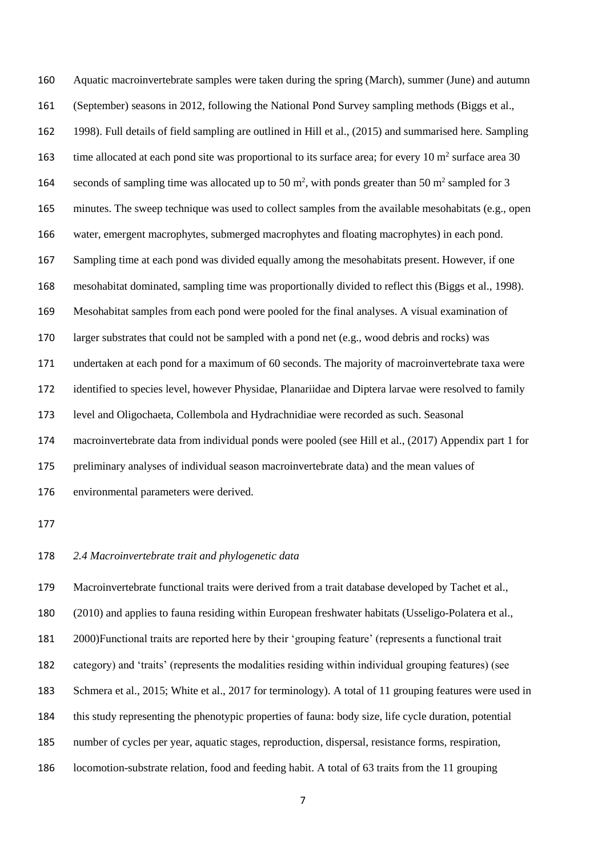Aquatic macroinvertebrate samples were taken during the spring (March), summer (June) and autumn (September) seasons in 2012, following the National Pond Survey sampling methods (Biggs et al., 1998). Full details of field sampling are outlined in Hill et al., (2015) and summarised here. Sampling time allocated at each pond site was proportional to its surface area; for every  $10 \text{ m}^2$  surface area 30 164 seconds of sampling time was allocated up to 50  $m^2$ , with ponds greater than 50  $m^2$  sampled for 3 minutes. The sweep technique was used to collect samples from the available mesohabitats (e.g., open water, emergent macrophytes, submerged macrophytes and floating macrophytes) in each pond. Sampling time at each pond was divided equally among the mesohabitats present. However, if one mesohabitat dominated, sampling time was proportionally divided to reflect this (Biggs et al., 1998). Mesohabitat samples from each pond were pooled for the final analyses. A visual examination of larger substrates that could not be sampled with a pond net (e.g., wood debris and rocks) was undertaken at each pond for a maximum of 60 seconds. The majority of macroinvertebrate taxa were identified to species level, however Physidae, Planariidae and Diptera larvae were resolved to family level and Oligochaeta, Collembola and Hydrachnidiae were recorded as such. Seasonal macroinvertebrate data from individual ponds were pooled (see Hill et al., (2017) Appendix part 1 for preliminary analyses of individual season macroinvertebrate data) and the mean values of environmental parameters were derived.

#### *2.4 Macroinvertebrate trait and phylogenetic data*

 Macroinvertebrate functional traits were derived from a trait database developed by Tachet et al., (2010) and applies to fauna residing within European freshwater habitats (Usseligo-Polatera et al., 2000)Functional traits are reported here by their 'grouping feature' (represents a functional trait category) and 'traits' (represents the modalities residing within individual grouping features) (see Schmera et al., 2015; White et al., 2017 for terminology). A total of 11 grouping features were used in this study representing the phenotypic properties of fauna: body size, life cycle duration, potential number of cycles per year, aquatic stages, reproduction, dispersal, resistance forms, respiration, locomotion-substrate relation, food and feeding habit. A total of 63 traits from the 11 grouping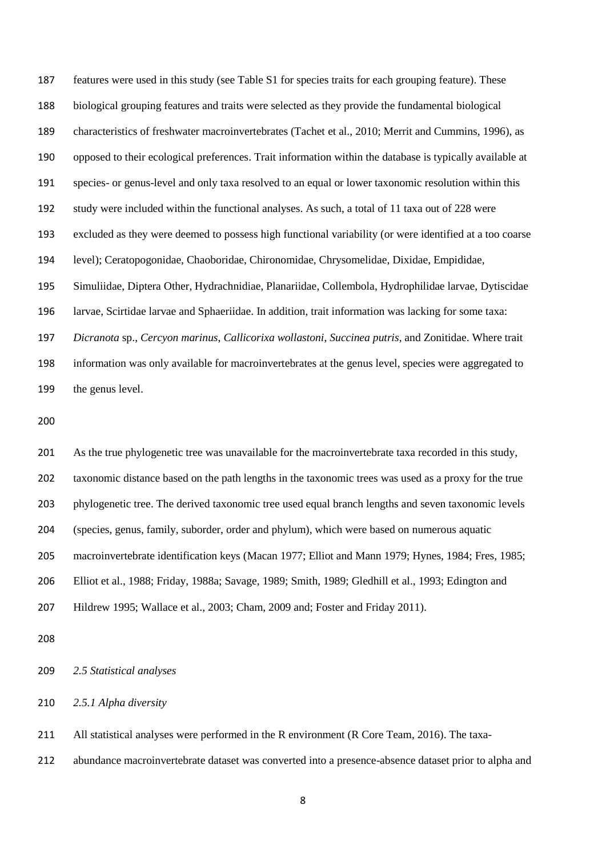features were used in this study (see Table S1 for species traits for each grouping feature). These biological grouping features and traits were selected as they provide the fundamental biological characteristics of freshwater macroinvertebrates (Tachet et al., 2010; Merrit and Cummins, 1996), as opposed to their ecological preferences. Trait information within the database is typically available at species- or genus-level and only taxa resolved to an equal or lower taxonomic resolution within this study were included within the functional analyses. As such, a total of 11 taxa out of 228 were excluded as they were deemed to possess high functional variability (or were identified at a too coarse level); Ceratopogonidae, Chaoboridae, Chironomidae, Chrysomelidae, Dixidae, Empididae, Simuliidae, Diptera Other, Hydrachnidiae, Planariidae, Collembola, Hydrophilidae larvae, Dytiscidae larvae, Scirtidae larvae and Sphaeriidae. In addition, trait information was lacking for some taxa: *Dicranota* sp., *Cercyon marinus*, *Callicorixa wollastoni*, *Succinea putris*, and Zonitidae. Where trait information was only available for macroinvertebrates at the genus level, species were aggregated to the genus level.

 As the true phylogenetic tree was unavailable for the macroinvertebrate taxa recorded in this study, taxonomic distance based on the path lengths in the taxonomic trees was used as a proxy for the true phylogenetic tree. The derived taxonomic tree used equal branch lengths and seven taxonomic levels (species, genus, family, suborder, order and phylum), which were based on numerous aquatic macroinvertebrate identification keys (Macan 1977; Elliot and Mann 1979; Hynes, 1984; Fres, 1985; Elliot et al., 1988; Friday, 1988a; Savage, 1989; Smith, 1989; Gledhill et al., 1993; Edington and Hildrew 1995; Wallace et al., 2003; Cham, 2009 and; Foster and Friday 2011).

*2.5 Statistical analyses*

*2.5.1 Alpha diversity*

All statistical analyses were performed in the R environment (R Core Team, 2016). The taxa-

abundance macroinvertebrate dataset was converted into a presence-absence dataset prior to alpha and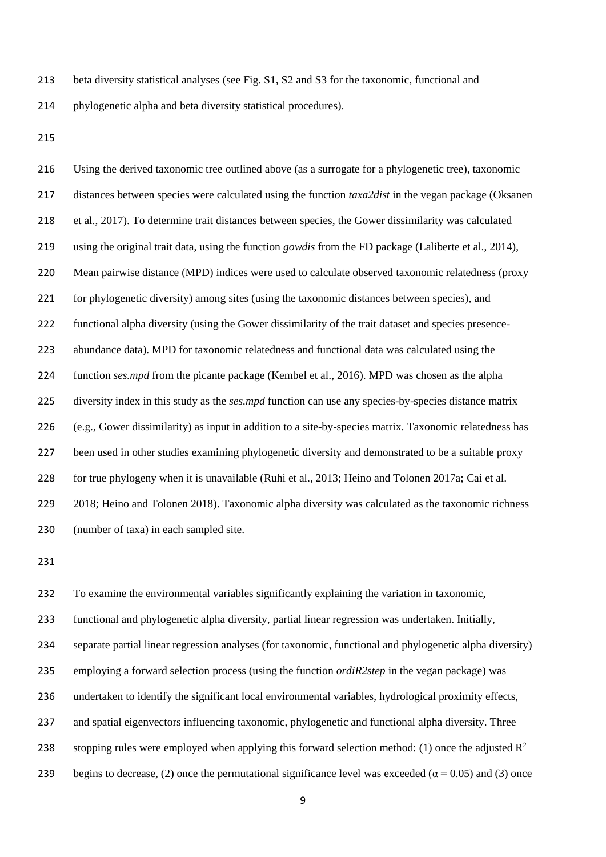- beta diversity statistical analyses (see Fig. S1, S2 and S3 for the taxonomic, functional and phylogenetic alpha and beta diversity statistical procedures).
- 

 Using the derived taxonomic tree outlined above (as a surrogate for a phylogenetic tree), taxonomic distances between species were calculated using the function *taxa2dist* in the vegan package (Oksanen et al., 2017). To determine trait distances between species, the Gower dissimilarity was calculated using the original trait data, using the function *gowdis* from the FD package (Laliberte et al., 2014), Mean pairwise distance (MPD) indices were used to calculate observed taxonomic relatedness (proxy for phylogenetic diversity) among sites (using the taxonomic distances between species), and functional alpha diversity (using the Gower dissimilarity of the trait dataset and species presence- abundance data). MPD for taxonomic relatedness and functional data was calculated using the function *ses.mpd* from the picante package (Kembel et al., 2016). MPD was chosen as the alpha diversity index in this study as the *ses.mpd* function can use any species-by-species distance matrix (e.g., Gower dissimilarity) as input in addition to a site-by-species matrix. Taxonomic relatedness has been used in other studies examining phylogenetic diversity and demonstrated to be a suitable proxy for true phylogeny when it is unavailable (Ruhi et al., 2013; Heino and Tolonen 2017a; Cai et al. 2018; Heino and Tolonen 2018). Taxonomic alpha diversity was calculated as the taxonomic richness (number of taxa) in each sampled site.

 To examine the environmental variables significantly explaining the variation in taxonomic, functional and phylogenetic alpha diversity, partial linear regression was undertaken. Initially, separate partial linear regression analyses (for taxonomic, functional and phylogenetic alpha diversity) employing a forward selection process (using the function *ordiR2step* in the vegan package) was undertaken to identify the significant local environmental variables, hydrological proximity effects, and spatial eigenvectors influencing taxonomic, phylogenetic and functional alpha diversity. Three 238 stopping rules were employed when applying this forward selection method: (1) once the adjusted  $\mathbb{R}^2$ 239 begins to decrease, (2) once the permutational significance level was exceeded ( $\alpha$  = 0.05) and (3) once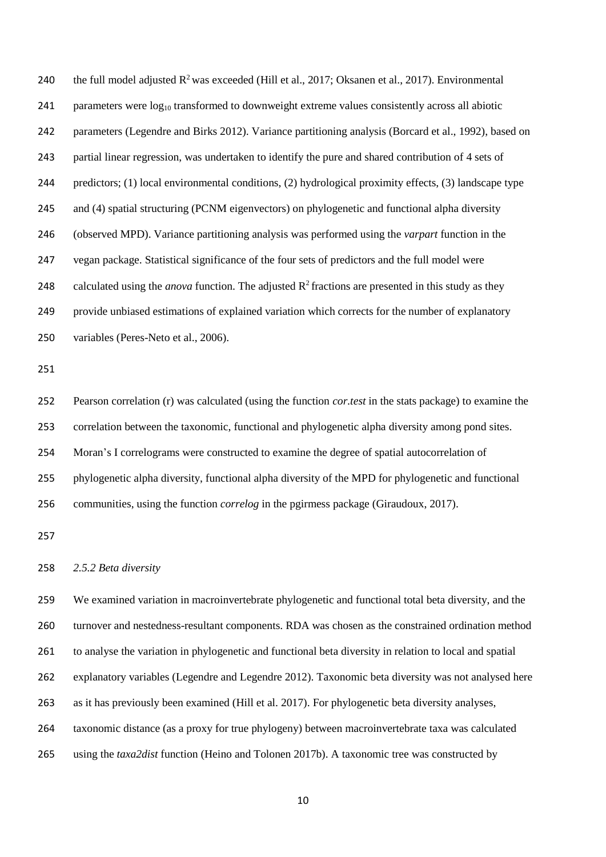240 the full model adjusted  $R^2$  was exceeded (Hill et al., 2017; Oksanen et al., 2017). Environmental 241 parameters were  $log_{10}$  transformed to downweight extreme values consistently across all abiotic parameters (Legendre and Birks 2012). Variance partitioning analysis (Borcard et al., 1992), based on partial linear regression, was undertaken to identify the pure and shared contribution of 4 sets of predictors; (1) local environmental conditions, (2) hydrological proximity effects, (3) landscape type and (4) spatial structuring (PCNM eigenvectors) on phylogenetic and functional alpha diversity (observed MPD). Variance partitioning analysis was performed using the *varpart* function in the vegan package. Statistical significance of the four sets of predictors and the full model were 248 calculated using the *anova* function. The adjusted  $R^2$  fractions are presented in this study as they provide unbiased estimations of explained variation which corrects for the number of explanatory variables (Peres-Neto et al., 2006).

 Pearson correlation (r) was calculated (using the function *cor.test* in the stats package) to examine the correlation between the taxonomic, functional and phylogenetic alpha diversity among pond sites. Moran's I correlograms were constructed to examine the degree of spatial autocorrelation of phylogenetic alpha diversity, functional alpha diversity of the MPD for phylogenetic and functional communities, using the function *correlog* in the pgirmess package (Giraudoux, 2017).

#### *2.5.2 Beta diversity*

 We examined variation in macroinvertebrate phylogenetic and functional total beta diversity, and the turnover and nestedness-resultant components. RDA was chosen as the constrained ordination method to analyse the variation in phylogenetic and functional beta diversity in relation to local and spatial explanatory variables (Legendre and Legendre 2012). Taxonomic beta diversity was not analysed here as it has previously been examined (Hill et al. 2017). For phylogenetic beta diversity analyses, taxonomic distance (as a proxy for true phylogeny) between macroinvertebrate taxa was calculated using the *taxa2dist* function (Heino and Tolonen 2017b). A taxonomic tree was constructed by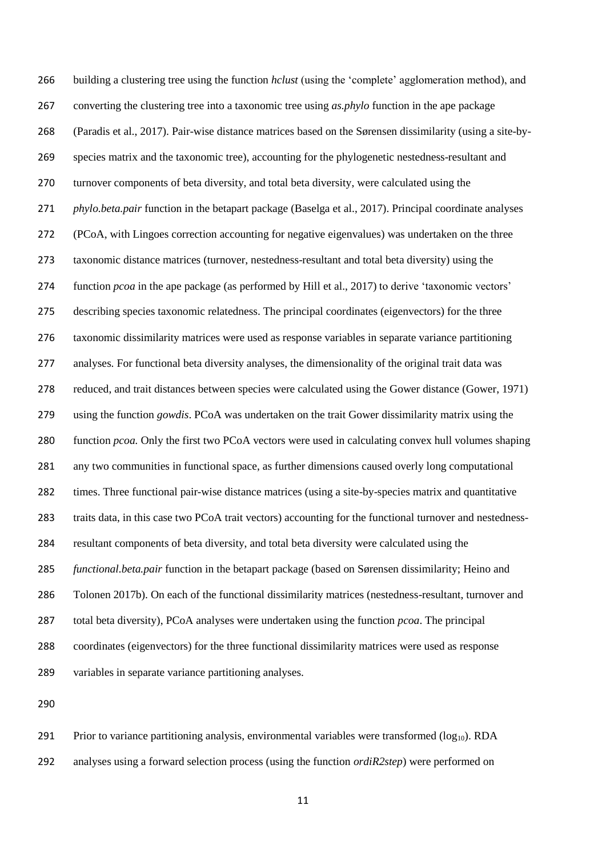building a clustering tree using the function *hclust* (using the 'complete' agglomeration method), and converting the clustering tree into a taxonomic tree using *as.phylo* function in the ape package (Paradis et al., 2017). Pair-wise distance matrices based on the Sørensen dissimilarity (using a site-by- species matrix and the taxonomic tree), accounting for the phylogenetic nestedness-resultant and turnover components of beta diversity, and total beta diversity, were calculated using the *phylo.beta.pair* function in the betapart package (Baselga et al., 2017). Principal coordinate analyses (PCoA, with Lingoes correction accounting for negative eigenvalues) was undertaken on the three taxonomic distance matrices (turnover, nestedness-resultant and total beta diversity) using the function *pcoa* in the ape package (as performed by Hill et al., 2017) to derive 'taxonomic vectors' describing species taxonomic relatedness. The principal coordinates (eigenvectors) for the three taxonomic dissimilarity matrices were used as response variables in separate variance partitioning analyses. For functional beta diversity analyses, the dimensionality of the original trait data was reduced, and trait distances between species were calculated using the Gower distance (Gower, 1971) using the function *gowdis*. PCoA was undertaken on the trait Gower dissimilarity matrix using the function *pcoa.* Only the first two PCoA vectors were used in calculating convex hull volumes shaping any two communities in functional space, as further dimensions caused overly long computational times. Three functional pair-wise distance matrices (using a site-by-species matrix and quantitative traits data, in this case two PCoA trait vectors) accounting for the functional turnover and nestedness- resultant components of beta diversity, and total beta diversity were calculated using the *functional.beta.pair* function in the betapart package (based on Sørensen dissimilarity; Heino and Tolonen 2017b). On each of the functional dissimilarity matrices (nestedness-resultant, turnover and total beta diversity), PCoA analyses were undertaken using the function *pcoa*. The principal coordinates (eigenvectors) for the three functional dissimilarity matrices were used as response variables in separate variance partitioning analyses.

291 Prior to variance partitioning analysis, environmental variables were transformed  $(log_{10})$ . RDA analyses using a forward selection process (using the function *ordiR2step*) were performed on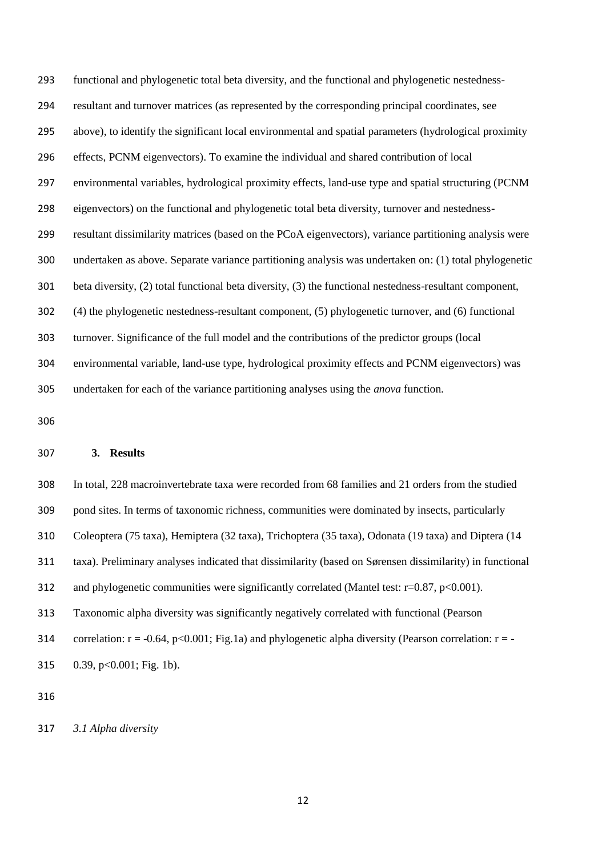functional and phylogenetic total beta diversity, and the functional and phylogenetic nestedness- resultant and turnover matrices (as represented by the corresponding principal coordinates, see above), to identify the significant local environmental and spatial parameters (hydrological proximity effects, PCNM eigenvectors). To examine the individual and shared contribution of local environmental variables, hydrological proximity effects, land-use type and spatial structuring (PCNM eigenvectors) on the functional and phylogenetic total beta diversity, turnover and nestedness- resultant dissimilarity matrices (based on the PCoA eigenvectors), variance partitioning analysis were undertaken as above. Separate variance partitioning analysis was undertaken on: (1) total phylogenetic beta diversity, (2) total functional beta diversity, (3) the functional nestedness-resultant component, (4) the phylogenetic nestedness-resultant component, (5) phylogenetic turnover, and (6) functional turnover. Significance of the full model and the contributions of the predictor groups (local environmental variable, land-use type, hydrological proximity effects and PCNM eigenvectors) was undertaken for each of the variance partitioning analyses using the *anova* function.

#### **3. Results**

 In total, 228 macroinvertebrate taxa were recorded from 68 families and 21 orders from the studied pond sites. In terms of taxonomic richness, communities were dominated by insects, particularly Coleoptera (75 taxa), Hemiptera (32 taxa), Trichoptera (35 taxa), Odonata (19 taxa) and Diptera (14 taxa). Preliminary analyses indicated that dissimilarity (based on Sørensen dissimilarity) in functional 312 and phylogenetic communities were significantly correlated (Mantel test: r=0.87, p<0.001). Taxonomic alpha diversity was significantly negatively correlated with functional (Pearson 314 correlation:  $r = -0.64$ ,  $p < 0.001$ ; Fig.1a) and phylogenetic alpha diversity (Pearson correlation:  $r = -1$ 0.39, p<0.001; Fig. 1b).

*3.1 Alpha diversity*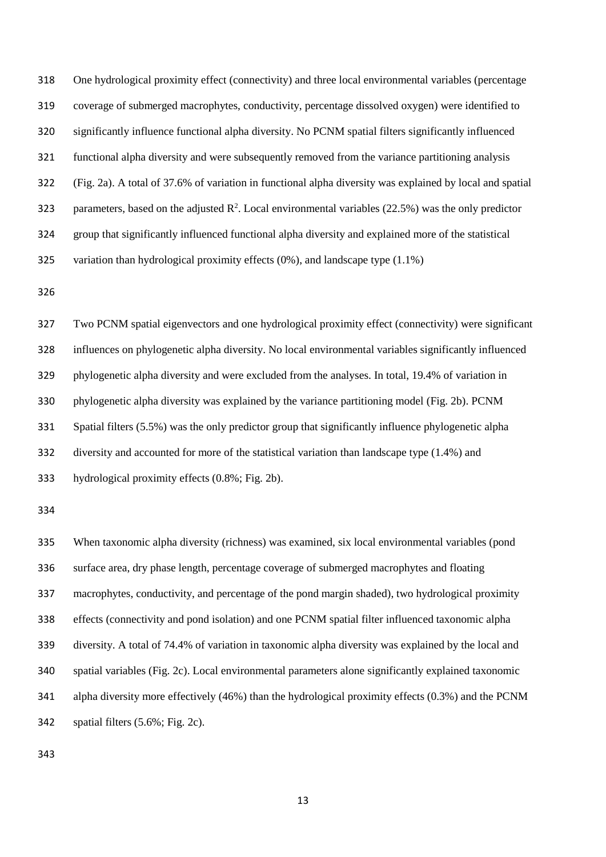One hydrological proximity effect (connectivity) and three local environmental variables (percentage coverage of submerged macrophytes, conductivity, percentage dissolved oxygen) were identified to significantly influence functional alpha diversity. No PCNM spatial filters significantly influenced functional alpha diversity and were subsequently removed from the variance partitioning analysis (Fig. 2a). A total of 37.6% of variation in functional alpha diversity was explained by local and spatial 323 parameters, based on the adjusted  $\mathbb{R}^2$ . Local environmental variables (22.5%) was the only predictor group that significantly influenced functional alpha diversity and explained more of the statistical variation than hydrological proximity effects (0%), and landscape type (1.1%)

 Two PCNM spatial eigenvectors and one hydrological proximity effect (connectivity) were significant influences on phylogenetic alpha diversity. No local environmental variables significantly influenced phylogenetic alpha diversity and were excluded from the analyses. In total, 19.4% of variation in phylogenetic alpha diversity was explained by the variance partitioning model (Fig. 2b). PCNM Spatial filters (5.5%) was the only predictor group that significantly influence phylogenetic alpha diversity and accounted for more of the statistical variation than landscape type (1.4%) and hydrological proximity effects (0.8%; Fig. 2b).

 When taxonomic alpha diversity (richness) was examined, six local environmental variables (pond surface area, dry phase length, percentage coverage of submerged macrophytes and floating macrophytes, conductivity, and percentage of the pond margin shaded), two hydrological proximity effects (connectivity and pond isolation) and one PCNM spatial filter influenced taxonomic alpha diversity. A total of 74.4% of variation in taxonomic alpha diversity was explained by the local and spatial variables (Fig. 2c). Local environmental parameters alone significantly explained taxonomic alpha diversity more effectively (46%) than the hydrological proximity effects (0.3%) and the PCNM spatial filters (5.6%; Fig. 2c).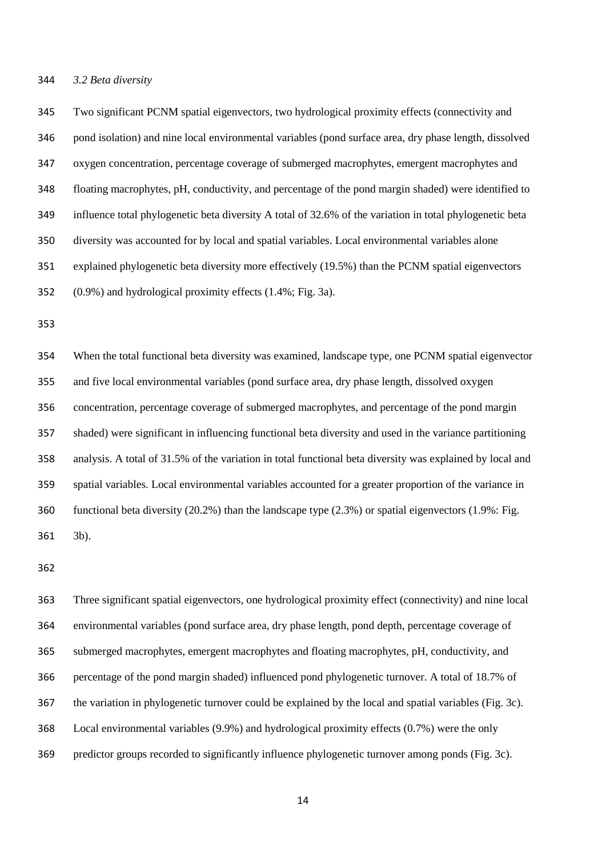#### *3.2 Beta diversity*

 Two significant PCNM spatial eigenvectors, two hydrological proximity effects (connectivity and pond isolation) and nine local environmental variables (pond surface area, dry phase length, dissolved oxygen concentration, percentage coverage of submerged macrophytes, emergent macrophytes and floating macrophytes, pH, conductivity, and percentage of the pond margin shaded) were identified to influence total phylogenetic beta diversity A total of 32.6% of the variation in total phylogenetic beta diversity was accounted for by local and spatial variables. Local environmental variables alone explained phylogenetic beta diversity more effectively (19.5%) than the PCNM spatial eigenvectors (0.9%) and hydrological proximity effects (1.4%; Fig. 3a).

 When the total functional beta diversity was examined, landscape type, one PCNM spatial eigenvector and five local environmental variables (pond surface area, dry phase length, dissolved oxygen concentration, percentage coverage of submerged macrophytes, and percentage of the pond margin shaded) were significant in influencing functional beta diversity and used in the variance partitioning analysis. A total of 31.5% of the variation in total functional beta diversity was explained by local and spatial variables. Local environmental variables accounted for a greater proportion of the variance in functional beta diversity (20.2%) than the landscape type (2.3%) or spatial eigenvectors (1.9%: Fig. 3b).

 Three significant spatial eigenvectors, one hydrological proximity effect (connectivity) and nine local environmental variables (pond surface area, dry phase length, pond depth, percentage coverage of submerged macrophytes, emergent macrophytes and floating macrophytes, pH, conductivity, and percentage of the pond margin shaded) influenced pond phylogenetic turnover. A total of 18.7% of the variation in phylogenetic turnover could be explained by the local and spatial variables (Fig. 3c). Local environmental variables (9.9%) and hydrological proximity effects (0.7%) were the only predictor groups recorded to significantly influence phylogenetic turnover among ponds (Fig. 3c).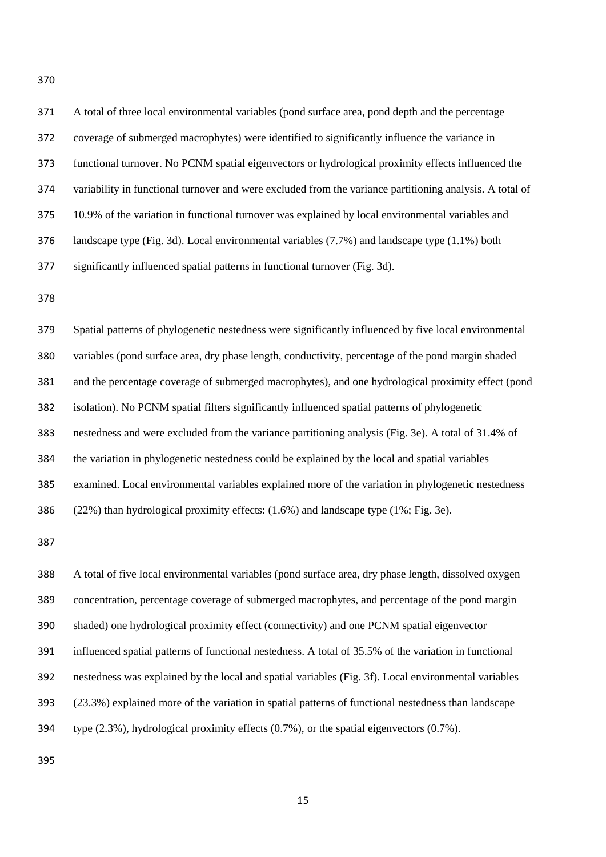| 371 | A total of three local environmental variables (pond surface area, pond depth and the percentage         |
|-----|----------------------------------------------------------------------------------------------------------|
| 372 | coverage of submerged macrophytes) were identified to significantly influence the variance in            |
| 373 | functional turnover. No PCNM spatial eigenvectors or hydrological proximity effects influenced the       |
| 374 | variability in functional turnover and were excluded from the variance partitioning analysis. A total of |
| 375 | 10.9% of the variation in functional turnover was explained by local environmental variables and         |
| 376 | landscape type (Fig. 3d). Local environmental variables $(7.7%)$ and landscape type $(1.1%)$ both        |
| 377 | significantly influenced spatial patterns in functional turnover (Fig. 3d).                              |
| 378 |                                                                                                          |
| 379 | Spatial patterns of phylogenetic nestedness were significantly influenced by five local environmental    |
| 380 | variables (pond surface area, dry phase length, conductivity, percentage of the pond margin shaded       |
| 381 | and the percentage coverage of submerged macrophytes), and one hydrological proximity effect (pond       |
| 382 | isolation). No PCNM spatial filters significantly influenced spatial patterns of phylogenetic            |
| 383 | nestedness and were excluded from the variance partitioning analysis (Fig. 3e). A total of 31.4% of      |
| 384 | the variation in phylogenetic nestedness could be explained by the local and spatial variables           |
| 385 | examined. Local environmental variables explained more of the variation in phylogenetic nestedness       |
| 386 | (22%) than hydrological proximity effects: (1.6%) and landscape type (1%; Fig. 3e).                      |
| 387 |                                                                                                          |
| 388 | A total of five local environmental variables (pond surface area, dry phase length, dissolved oxygen     |

 concentration, percentage coverage of submerged macrophytes, and percentage of the pond margin shaded) one hydrological proximity effect (connectivity) and one PCNM spatial eigenvector influenced spatial patterns of functional nestedness. A total of 35.5% of the variation in functional nestedness was explained by the local and spatial variables (Fig. 3f). Local environmental variables (23.3%) explained more of the variation in spatial patterns of functional nestedness than landscape type (2.3%), hydrological proximity effects (0.7%), or the spatial eigenvectors (0.7%).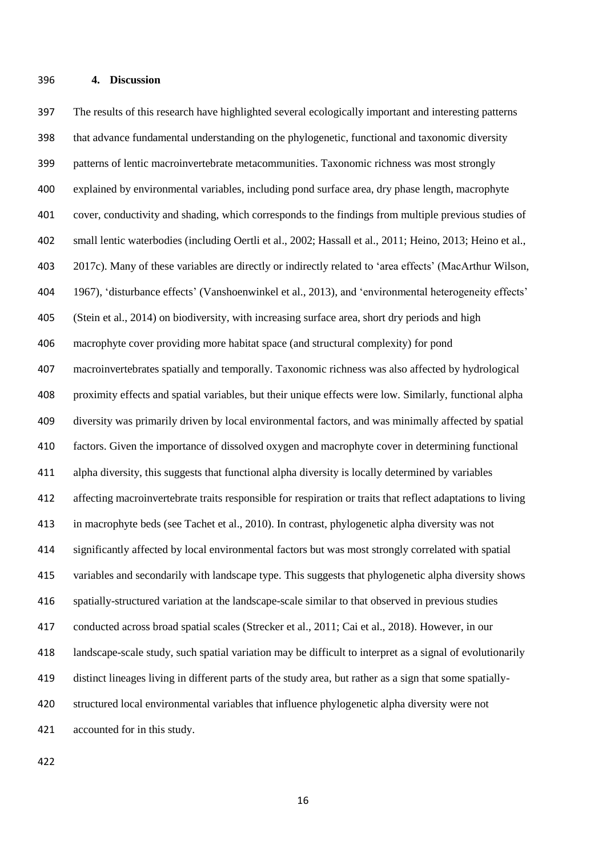The results of this research have highlighted several ecologically important and interesting patterns that advance fundamental understanding on the phylogenetic, functional and taxonomic diversity patterns of lentic macroinvertebrate metacommunities. Taxonomic richness was most strongly explained by environmental variables, including pond surface area, dry phase length, macrophyte cover, conductivity and shading, which corresponds to the findings from multiple previous studies of small lentic waterbodies (including Oertli et al., 2002; Hassall et al., 2011; Heino, 2013; Heino et al., 2017c). Many of these variables are directly or indirectly related to 'area effects' (MacArthur Wilson, 1967), 'disturbance effects' (Vanshoenwinkel et al., 2013), and 'environmental heterogeneity effects' (Stein et al., 2014) on biodiversity, with increasing surface area, short dry periods and high macrophyte cover providing more habitat space (and structural complexity) for pond macroinvertebrates spatially and temporally. Taxonomic richness was also affected by hydrological proximity effects and spatial variables, but their unique effects were low. Similarly, functional alpha diversity was primarily driven by local environmental factors, and was minimally affected by spatial factors. Given the importance of dissolved oxygen and macrophyte cover in determining functional alpha diversity, this suggests that functional alpha diversity is locally determined by variables affecting macroinvertebrate traits responsible for respiration or traits that reflect adaptations to living in macrophyte beds (see Tachet et al., 2010). In contrast, phylogenetic alpha diversity was not significantly affected by local environmental factors but was most strongly correlated with spatial variables and secondarily with landscape type. This suggests that phylogenetic alpha diversity shows spatially-structured variation at the landscape-scale similar to that observed in previous studies conducted across broad spatial scales (Strecker et al., 2011; Cai et al., 2018). However, in our landscape-scale study, such spatial variation may be difficult to interpret as a signal of evolutionarily distinct lineages living in different parts of the study area, but rather as a sign that some spatially- structured local environmental variables that influence phylogenetic alpha diversity were not accounted for in this study.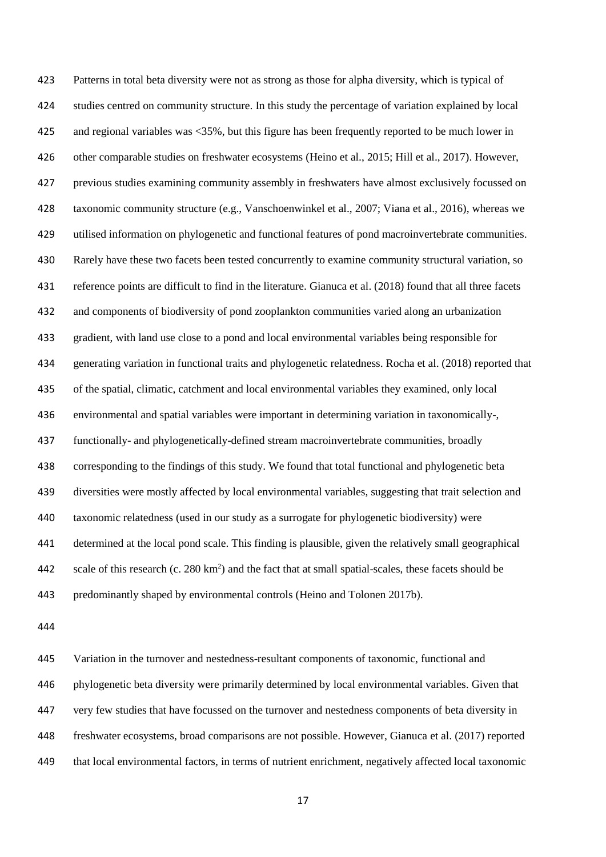Patterns in total beta diversity were not as strong as those for alpha diversity, which is typical of studies centred on community structure. In this study the percentage of variation explained by local and regional variables was <35%, but this figure has been frequently reported to be much lower in other comparable studies on freshwater ecosystems (Heino et al., 2015; Hill et al., 2017). However, previous studies examining community assembly in freshwaters have almost exclusively focussed on taxonomic community structure (e.g., Vanschoenwinkel et al., 2007; Viana et al., 2016), whereas we utilised information on phylogenetic and functional features of pond macroinvertebrate communities. Rarely have these two facets been tested concurrently to examine community structural variation, so reference points are difficult to find in the literature. Gianuca et al. (2018) found that all three facets and components of biodiversity of pond zooplankton communities varied along an urbanization gradient, with land use close to a pond and local environmental variables being responsible for generating variation in functional traits and phylogenetic relatedness. Rocha et al. (2018) reported that of the spatial, climatic, catchment and local environmental variables they examined, only local environmental and spatial variables were important in determining variation in taxonomically-, functionally- and phylogenetically-defined stream macroinvertebrate communities, broadly corresponding to the findings of this study. We found that total functional and phylogenetic beta diversities were mostly affected by local environmental variables, suggesting that trait selection and taxonomic relatedness (used in our study as a surrogate for phylogenetic biodiversity) were determined at the local pond scale. This finding is plausible, given the relatively small geographical scale of this research (c.  $280 \text{ km}^2$ ) and the fact that at small spatial-scales, these facets should be predominantly shaped by environmental controls (Heino and Tolonen 2017b).

 Variation in the turnover and nestedness-resultant components of taxonomic, functional and phylogenetic beta diversity were primarily determined by local environmental variables. Given that very few studies that have focussed on the turnover and nestedness components of beta diversity in freshwater ecosystems, broad comparisons are not possible. However, Gianuca et al. (2017) reported that local environmental factors, in terms of nutrient enrichment, negatively affected local taxonomic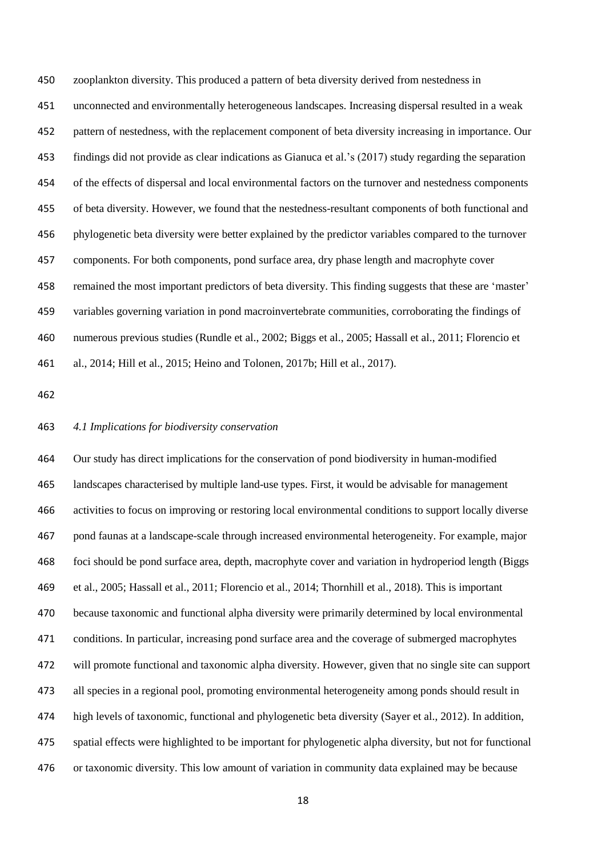zooplankton diversity. This produced a pattern of beta diversity derived from nestedness in unconnected and environmentally heterogeneous landscapes. Increasing dispersal resulted in a weak pattern of nestedness, with the replacement component of beta diversity increasing in importance. Our findings did not provide as clear indications as Gianuca et al.'s (2017) study regarding the separation of the effects of dispersal and local environmental factors on the turnover and nestedness components of beta diversity. However, we found that the nestedness-resultant components of both functional and phylogenetic beta diversity were better explained by the predictor variables compared to the turnover components. For both components, pond surface area, dry phase length and macrophyte cover remained the most important predictors of beta diversity. This finding suggests that these are 'master' variables governing variation in pond macroinvertebrate communities, corroborating the findings of numerous previous studies (Rundle et al., 2002; Biggs et al., 2005; Hassall et al., 2011; Florencio et al., 2014; Hill et al., 2015; Heino and Tolonen, 2017b; Hill et al., 2017).

#### *4.1 Implications for biodiversity conservation*

 Our study has direct implications for the conservation of pond biodiversity in human-modified landscapes characterised by multiple land-use types. First, it would be advisable for management activities to focus on improving or restoring local environmental conditions to support locally diverse pond faunas at a landscape-scale through increased environmental heterogeneity. For example, major foci should be pond surface area, depth, macrophyte cover and variation in hydroperiod length (Biggs et al., 2005; Hassall et al., 2011; Florencio et al., 2014; Thornhill et al., 2018). This is important because taxonomic and functional alpha diversity were primarily determined by local environmental conditions. In particular, increasing pond surface area and the coverage of submerged macrophytes will promote functional and taxonomic alpha diversity. However, given that no single site can support all species in a regional pool, promoting environmental heterogeneity among ponds should result in high levels of taxonomic, functional and phylogenetic beta diversity (Sayer et al., 2012). In addition, spatial effects were highlighted to be important for phylogenetic alpha diversity, but not for functional or taxonomic diversity. This low amount of variation in community data explained may be because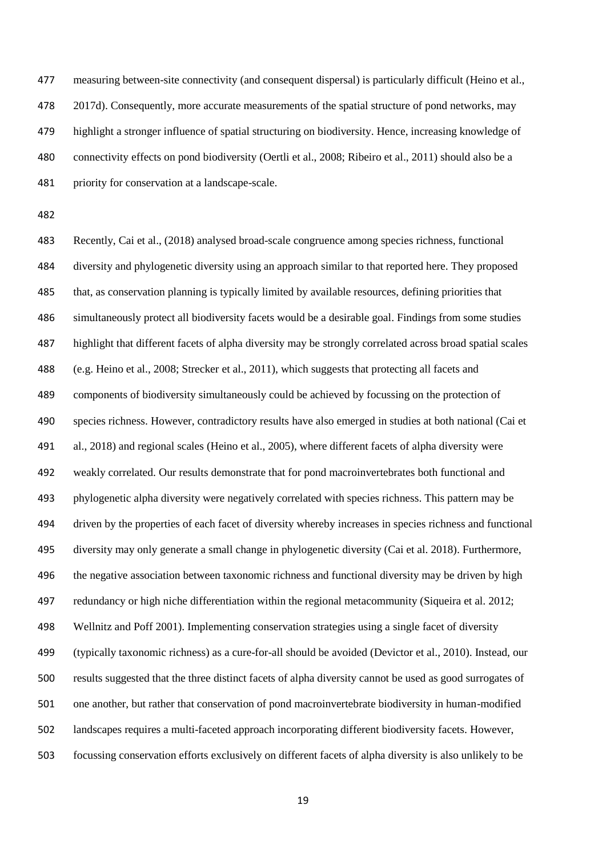measuring between-site connectivity (and consequent dispersal) is particularly difficult (Heino et al., 2017d). Consequently, more accurate measurements of the spatial structure of pond networks, may highlight a stronger influence of spatial structuring on biodiversity. Hence, increasing knowledge of connectivity effects on pond biodiversity (Oertli et al., 2008; Ribeiro et al., 2011) should also be a priority for conservation at a landscape-scale.

 Recently, Cai et al., (2018) analysed broad-scale congruence among species richness, functional diversity and phylogenetic diversity using an approach similar to that reported here. They proposed that, as conservation planning is typically limited by available resources, defining priorities that simultaneously protect all biodiversity facets would be a desirable goal. Findings from some studies highlight that different facets of alpha diversity may be strongly correlated across broad spatial scales (e.g. Heino et al., 2008; Strecker et al., 2011), which suggests that protecting all facets and components of biodiversity simultaneously could be achieved by focussing on the protection of species richness. However, contradictory results have also emerged in studies at both national (Cai et al., 2018) and regional scales (Heino et al., 2005), where different facets of alpha diversity were weakly correlated. Our results demonstrate that for pond macroinvertebrates both functional and phylogenetic alpha diversity were negatively correlated with species richness. This pattern may be driven by the properties of each facet of diversity whereby increases in species richness and functional diversity may only generate a small change in phylogenetic diversity (Cai et al. 2018). Furthermore, the negative association between taxonomic richness and functional diversity may be driven by high redundancy or high niche differentiation within the regional metacommunity (Siqueira et al. 2012; Wellnitz and Poff 2001). Implementing conservation strategies using a single facet of diversity (typically taxonomic richness) as a cure-for-all should be avoided (Devictor et al., 2010). Instead, our results suggested that the three distinct facets of alpha diversity cannot be used as good surrogates of one another, but rather that conservation of pond macroinvertebrate biodiversity in human-modified landscapes requires a multi-faceted approach incorporating different biodiversity facets. However, focussing conservation efforts exclusively on different facets of alpha diversity is also unlikely to be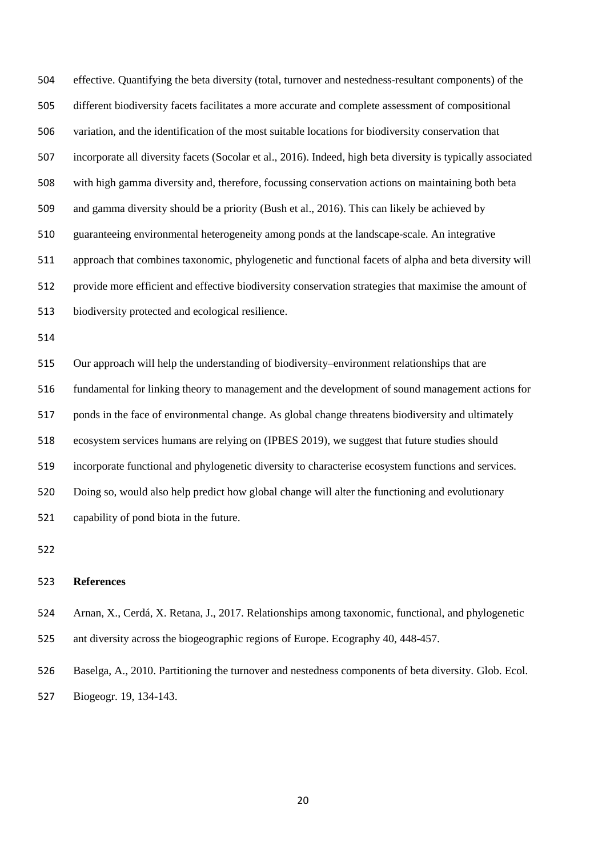effective. Quantifying the beta diversity (total, turnover and nestedness-resultant components) of the different biodiversity facets facilitates a more accurate and complete assessment of compositional variation, and the identification of the most suitable locations for biodiversity conservation that incorporate all diversity facets (Socolar et al., 2016). Indeed, high beta diversity is typically associated with high gamma diversity and, therefore, focussing conservation actions on maintaining both beta and gamma diversity should be a priority (Bush et al., 2016). This can likely be achieved by guaranteeing environmental heterogeneity among ponds at the landscape-scale. An integrative approach that combines taxonomic, phylogenetic and functional facets of alpha and beta diversity will provide more efficient and effective biodiversity conservation strategies that maximise the amount of biodiversity protected and ecological resilience.

 Our approach will help the understanding of biodiversity–environment relationships that are fundamental for linking theory to management and the development of sound management actions for ponds in the face of environmental change. As global change threatens biodiversity and ultimately ecosystem services humans are relying on (IPBES 2019), we suggest that future studies should incorporate functional and phylogenetic diversity to characterise ecosystem functions and services. Doing so, would also help predict how global change will alter the functioning and evolutionary capability of pond biota in the future.

#### **References**

 Arnan, X., Cerdá, X. Retana, J., 2017. Relationships among taxonomic, functional, and phylogenetic ant diversity across the biogeographic regions of Europe. Ecography 40, 448-457.

 Baselga, A., 2010. Partitioning the turnover and nestedness components of beta diversity. Glob. Ecol. Biogeogr. 19, 134-143.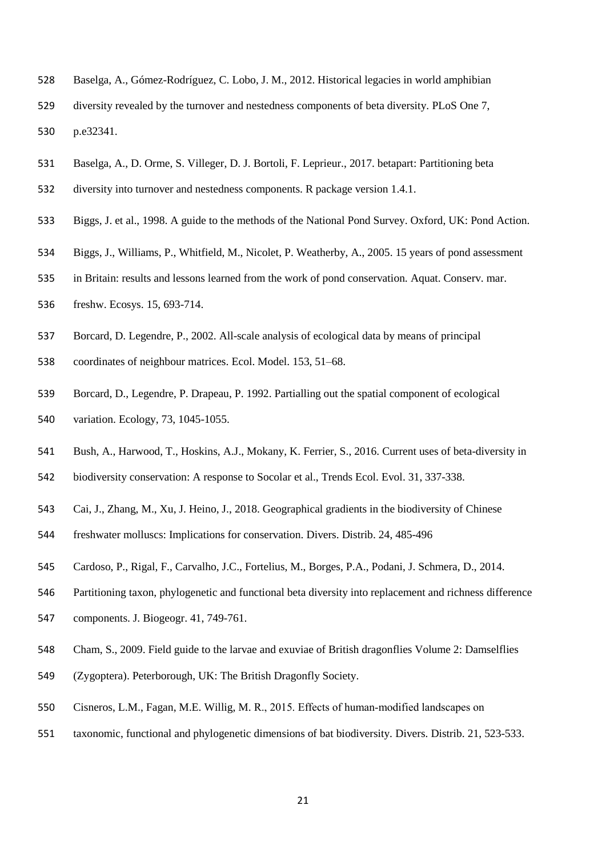- Baselga, A., Gómez-Rodríguez, C. Lobo, J. M., 2012. Historical legacies in world amphibian
- diversity revealed by the turnover and nestedness components of beta diversity. PLoS One 7, p.e32341.
- Baselga, A., D. Orme, S. Villeger, D. J. Bortoli, F. Leprieur., 2017. betapart: Partitioning beta
- diversity into turnover and nestedness components. R package version 1.4.1.
- Biggs, J. et al., 1998. A guide to the methods of the National Pond Survey. Oxford, UK: Pond Action.
- Biggs, J., Williams, P., Whitfield, M., Nicolet, P. Weatherby, A., 2005. 15 years of pond assessment
- in Britain: results and lessons learned from the work of pond conservation. Aquat. Conserv. mar.
- freshw. Ecosys. 15, 693-714.
- Borcard, D. Legendre, P., 2002. All-scale analysis of ecological data by means of principal
- coordinates of neighbour matrices. Ecol. Model. 153, 51–68.
- Borcard, D., Legendre, P. Drapeau, P. 1992. Partialling out the spatial component of ecological variation. Ecology, 73, 1045-1055.
- Bush, A., Harwood, T., Hoskins, A.J., Mokany, K. Ferrier, S., 2016. Current uses of beta-diversity in
- biodiversity conservation: A response to Socolar et al., Trends Ecol. Evol. 31, 337-338.
- Cai, J., Zhang, M., Xu, J. Heino, J., 2018. Geographical gradients in the biodiversity of Chinese
- freshwater molluscs: Implications for conservation. Divers. Distrib. 24, 485-496
- Cardoso, P., Rigal, F., Carvalho, J.C., Fortelius, M., Borges, P.A., Podani, J. Schmera, D., 2014.
- Partitioning taxon, phylogenetic and functional beta diversity into replacement and richness difference
- components. J. Biogeogr. 41, 749-761.
- Cham, S., 2009. Field guide to the larvae and exuviae of British dragonflies Volume 2: Damselflies
- (Zygoptera). Peterborough, UK: The British Dragonfly Society.
- 550 Cisneros, L.M., Fagan, M.E. Willig, M. R., 2015. Effects of human-modified landscapes on
- taxonomic, functional and phylogenetic dimensions of bat biodiversity. Divers. Distrib. 21, 523-533.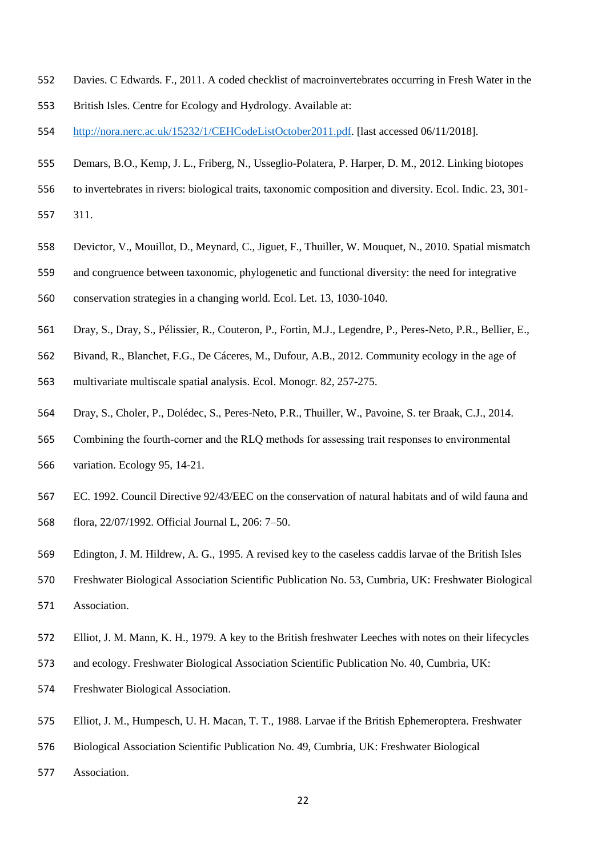- Davies. C Edwards. F., 2011. A coded checklist of macroinvertebrates occurring in Fresh Water in the
- British Isles. Centre for Ecology and Hydrology. Available at:
- [http://nora.nerc.ac.uk/15232/1/CEHCodeListOctober2011.pdf.](http://nora.nerc.ac.uk/15232/1/CEHCodeListOctober2011.pdf) [last accessed 06/11/2018].
- Demars, B.O., Kemp, J. L., Friberg, N., Usseglio-Polatera, P. Harper, D. M., 2012. Linking biotopes
- to invertebrates in rivers: biological traits, taxonomic composition and diversity. Ecol. Indic. 23, 301-
- 311.
- Devictor, V., Mouillot, D., Meynard, C., Jiguet, F., Thuiller, W. Mouquet, N., 2010. Spatial mismatch
- and congruence between taxonomic, phylogenetic and functional diversity: the need for integrative
- conservation strategies in a changing world. Ecol. Let. 13, 1030-1040.
- Dray, S., Dray, S., Pélissier, R., Couteron, P., Fortin, M.J., Legendre, P., Peres-Neto, P.R., Bellier, E.,
- Bivand, R., Blanchet, F.G., De Cáceres, M., Dufour, A.B., 2012. Community ecology in the age of
- multivariate multiscale spatial analysis. Ecol. Monogr. 82, 257-275.
- Dray, S., Choler, P., Dolédec, S., Peres-Neto, P.R., Thuiller, W., Pavoine, S. ter Braak, C.J., 2014.
- 565 Combining the fourth-corner and the RLQ methods for assessing trait responses to environmental variation. Ecology 95, 14-21.
- EC. 1992. Council Directive 92/43/EEC on the conservation of natural habitats and of wild fauna and flora, 22/07/1992. Official Journal L, 206: 7–50.
- Edington, J. M. Hildrew, A. G., 1995. A revised key to the caseless caddis larvae of the British Isles
- Freshwater Biological Association Scientific Publication No. 53, Cumbria, UK: Freshwater Biological Association.
- Elliot, J. M. Mann, K. H., 1979. A key to the British freshwater Leeches with notes on their lifecycles
- and ecology. Freshwater Biological Association Scientific Publication No. 40, Cumbria, UK:
- Freshwater Biological Association.
- Elliot, J. M., Humpesch, U. H. Macan, T. T., 1988. Larvae if the British Ephemeroptera. Freshwater
- Biological Association Scientific Publication No. 49, Cumbria, UK: Freshwater Biological
- Association.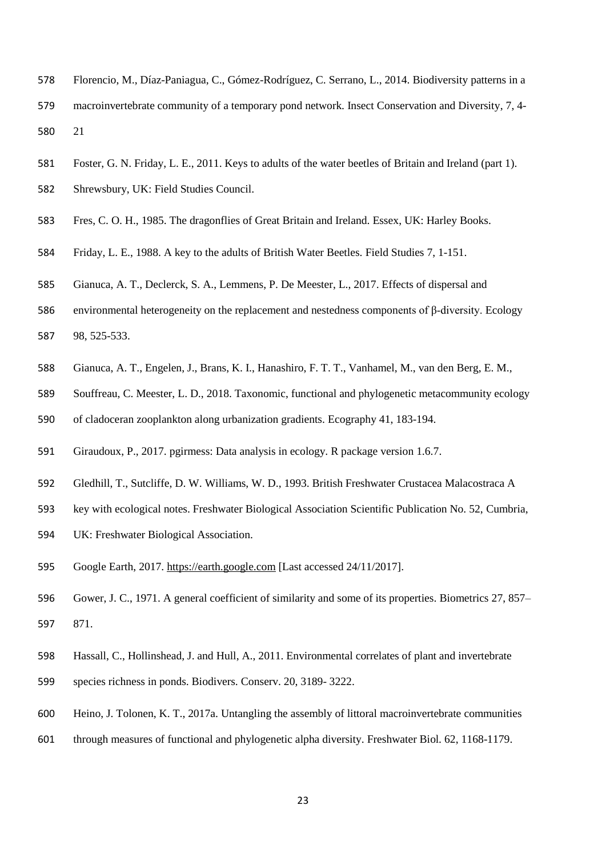- Florencio, M., Díaz-Paniagua, C., Gómez-Rodríguez, C. Serrano, L., 2014. Biodiversity patterns in a macroinvertebrate community of a temporary pond network. Insect Conservation and Diversity, 7, 4- 21
- Foster, G. N. Friday, L. E., 2011. Keys to adults of the water beetles of Britain and Ireland (part 1).
- Shrewsbury, UK: Field Studies Council.
- Fres, C. O. H., 1985. The dragonflies of Great Britain and Ireland. Essex, UK: Harley Books.
- Friday, L. E., 1988. A key to the adults of British Water Beetles. Field Studies 7, 1-151.
- Gianuca, A. T., Declerck, S. A., Lemmens, P. De Meester, L., 2017. Effects of dispersal and
- environmental heterogeneity on the replacement and nestedness components of β‐diversity. Ecology 98, 525-533.
- Gianuca, A. T., Engelen, J., Brans, K. I., Hanashiro, F. T. T., Vanhamel, M., van den Berg, E. M.,
- Souffreau, C. Meester, L. D., 2018. Taxonomic, functional and phylogenetic metacommunity ecology
- of cladoceran zooplankton along urbanization gradients. Ecography 41, 183-194.
- Giraudoux, P., 2017. pgirmess: Data analysis in ecology. R package version 1.6.7.
- Gledhill, T., Sutcliffe, D. W. Williams, W. D., 1993. British Freshwater Crustacea Malacostraca A
- key with ecological notes. Freshwater Biological Association Scientific Publication No. 52, Cumbria,
- UK: Freshwater Biological Association.
- Google Earth, 2017. [https://earth.google.com](https://earth.google.com/) [Last accessed 24/11/2017].
- Gower, J. C., 1971. A general coefficient of similarity and some of its properties. Biometrics 27, 857– 871.
- Hassall, C., Hollinshead, J. and Hull, A., 2011. Environmental correlates of plant and invertebrate
- species richness in ponds. Biodivers. Conserv. 20, 3189- 3222.
- Heino, J. Tolonen, K. T., 2017a. Untangling the assembly of littoral macroinvertebrate communities
- through measures of functional and phylogenetic alpha diversity. Freshwater Biol. 62, 1168-1179.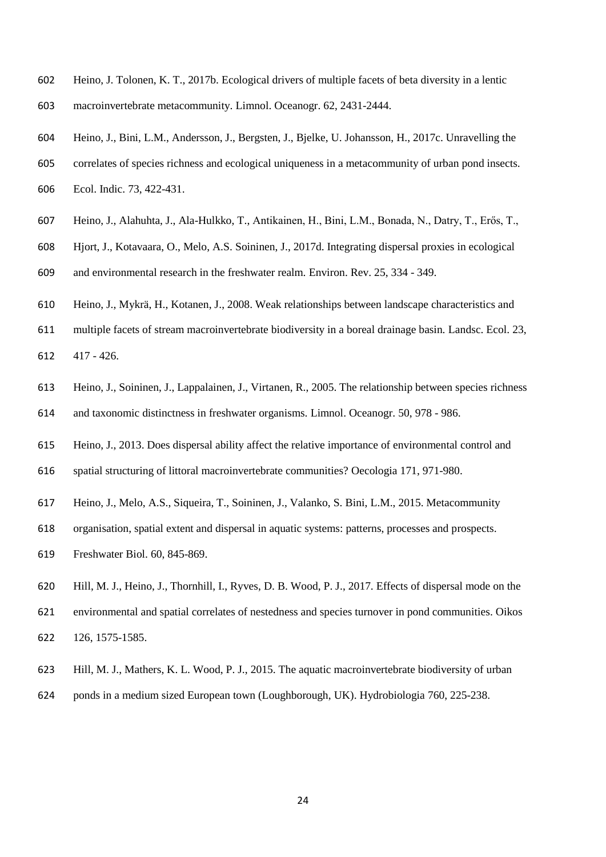- Heino, J. Tolonen, K. T., 2017b. Ecological drivers of multiple facets of beta diversity in a lentic macroinvertebrate metacommunity. Limnol. Oceanogr. 62, 2431-2444.
- Heino, J., Bini, L.M., Andersson, J., Bergsten, J., Bjelke, U. Johansson, H., 2017c. Unravelling the
- correlates of species richness and ecological uniqueness in a metacommunity of urban pond insects. Ecol. Indic. 73, 422-431.
- Heino, J., Alahuhta, J., Ala-Hulkko, T., Antikainen, H., Bini, L.M., Bonada, N., Datry, T., Erős, T.,
- Hjort, J., Kotavaara, O., Melo, A.S. Soininen, J., 2017d. Integrating dispersal proxies in ecological and environmental research in the freshwater realm. Environ. Rev. 25, 334 - 349.
- 
- Heino, J., Mykrä, H., Kotanen, J., 2008. Weak relationships between landscape characteristics and
- multiple facets of stream macroinvertebrate biodiversity in a boreal drainage basin. Landsc. Ecol. 23,
- 417 426.
- Heino, J., Soininen, J., Lappalainen, J., Virtanen, R., 2005. The relationship between species richness and taxonomic distinctness in freshwater organisms. Limnol. Oceanogr. 50, 978 - 986.
- Heino, J., 2013. Does dispersal ability affect the relative importance of environmental control and
- spatial structuring of littoral macroinvertebrate communities? Oecologia 171, 971-980.
- Heino, J., Melo, A.S., Siqueira, T., Soininen, J., Valanko, S. Bini, L.M., 2015. Metacommunity
- organisation, spatial extent and dispersal in aquatic systems: patterns, processes and prospects.
- Freshwater Biol. 60, 845-869.
- Hill, M. J., Heino, J., Thornhill, I., Ryves, D. B. Wood, P. J., 2017. Effects of dispersal mode on the
- environmental and spatial correlates of nestedness and species turnover in pond communities. Oikos 126, 1575-1585.
- Hill, M. J., Mathers, K. L. Wood, P. J., 2015. The aquatic macroinvertebrate biodiversity of urban
- ponds in a medium sized European town (Loughborough, UK). Hydrobiologia 760, 225-238.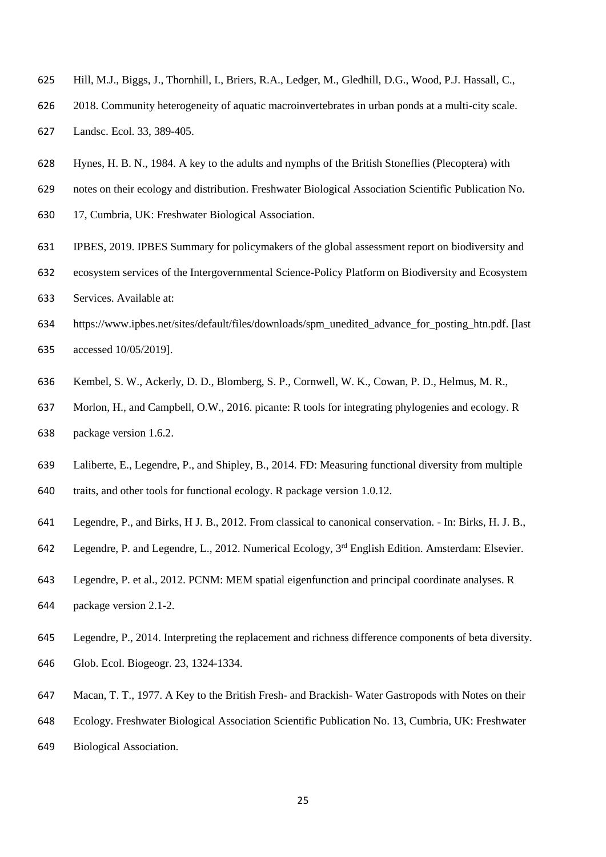- Hill, M.J., Biggs, J., Thornhill, I., Briers, R.A., Ledger, M., Gledhill, D.G., Wood, P.J. Hassall, C.,
- 2018. Community heterogeneity of aquatic macroinvertebrates in urban ponds at a multi-city scale. Landsc. Ecol. 33, 389-405.
- Hynes, H. B. N., 1984. A key to the adults and nymphs of the British Stoneflies (Plecoptera) with
- notes on their ecology and distribution. Freshwater Biological Association Scientific Publication No.
- 17, Cumbria, UK: Freshwater Biological Association.
- IPBES, 2019. IPBES Summary for policymakers of the global assessment report on biodiversity and
- ecosystem services of the Intergovernmental Science-Policy Platform on Biodiversity and Ecosystem Services. Available at:
- https://www.ipbes.net/sites/default/files/downloads/spm\_unedited\_advance\_for\_posting\_htn.pdf. [last accessed 10/05/2019].
- Kembel, S. W., Ackerly, D. D., Blomberg, S. P., Cornwell, W. K., Cowan, P. D., Helmus, M. R.,
- Morlon, H., and Campbell, O.W., 2016. picante: R tools for integrating phylogenies and ecology. R package version 1.6.2.
- Laliberte, E., Legendre, P., and Shipley, B., 2014. FD: Measuring functional diversity from multiple
- traits, and other tools for functional ecology. R package version 1.0.12.
- Legendre, P., and Birks, H J. B., 2012. From classical to canonical conservation. In: Birks, H. J. B.,
- 642 Legendre, P. and Legendre, L., 2012. Numerical Ecology, 3<sup>rd</sup> English Edition. Amsterdam: Elsevier.
- Legendre, P. et al., 2012. PCNM: MEM spatial eigenfunction and principal coordinate analyses. R package version 2.1-2.
- Legendre, P., 2014. Interpreting the replacement and richness difference components of beta diversity. Glob. Ecol. Biogeogr. 23, 1324-1334.
- Macan, T. T., 1977. A Key to the British Fresh- and Brackish- Water Gastropods with Notes on their
- Ecology. Freshwater Biological Association Scientific Publication No. 13, Cumbria, UK: Freshwater
- Biological Association.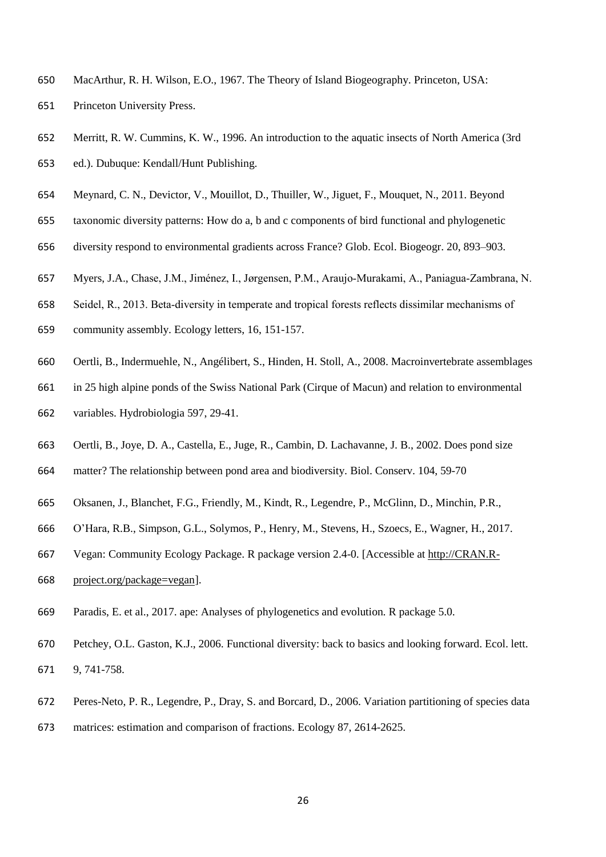- MacArthur, R. H. Wilson, E.O., 1967. The Theory of Island Biogeography. Princeton, USA: Princeton University Press.
- Merritt, R. W. Cummins, K. W., 1996. An introduction to the aquatic insects of North America (3rd ed.). Dubuque: Kendall/Hunt Publishing.
- Meynard, C. N., Devictor, V., Mouillot, D., Thuiller, W., Jiguet, F., Mouquet, N., 2011. Beyond
- taxonomic diversity patterns: How do a, b and c components of bird functional and phylogenetic
- diversity respond to environmental gradients across France? Glob. Ecol. Biogeogr. 20, 893–903.
- Myers, J.A., Chase, J.M., Jiménez, I., Jørgensen, P.M., Araujo‐Murakami, A., Paniagua‐Zambrana, N.
- Seidel, R., 2013. Beta‐diversity in temperate and tropical forests reflects dissimilar mechanisms of
- community assembly. Ecology letters, 16, 151-157.
- Oertli, B., Indermuehle, N., Angélibert, S., Hinden, H. Stoll, A., 2008. Macroinvertebrate assemblages
- in 25 high alpine ponds of the Swiss National Park (Cirque of Macun) and relation to environmental
- variables. Hydrobiologia 597, 29-41.
- Oertli, B., Joye, D. A., Castella, E., Juge, R., Cambin, D. Lachavanne, J. B., 2002. Does pond size
- matter? The relationship between pond area and biodiversity. Biol. Conserv. 104, 59-70
- Oksanen, J., Blanchet, F.G., Friendly, M., Kindt, R., Legendre, P., McGlinn, D., Minchin, P.R.,
- O'Hara, R.B., Simpson, G.L., Solymos, P., Henry, M., Stevens, H., Szoecs, E., Wagner, H., 2017.
- Vegan: Community Ecology Package. R package version 2.4-0. [Accessible at [http://CRAN.R-](http://cran.r-project.org/package=vegan)
- [project.org/package=vegan\]](http://cran.r-project.org/package=vegan).
- Paradis, E. et al., 2017. ape: Analyses of phylogenetics and evolution. R package 5.0.
- Petchey, O.L. Gaston, K.J., 2006. Functional diversity: back to basics and looking forward. Ecol. lett.
- 9, 741-758.
- Peres-Neto, P. R., Legendre, P., Dray, S. and Borcard, D., 2006. Variation partitioning of species data
- matrices: estimation and comparison of fractions. Ecology 87, 2614-2625.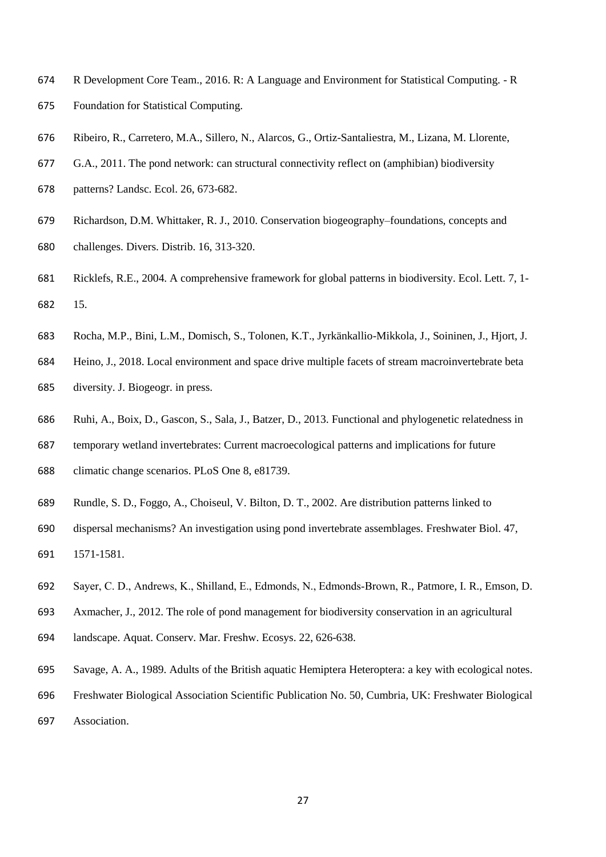- R Development Core Team., 2016. R: A Language and Environment for Statistical Computing. R Foundation for Statistical Computing.
- Ribeiro, R., Carretero, M.A., Sillero, N., Alarcos, G., Ortiz-Santaliestra, M., Lizana, M. Llorente,
- G.A., 2011. The pond network: can structural connectivity reflect on (amphibian) biodiversity
- patterns? Landsc. Ecol. 26, 673-682.
- Richardson, D.M. Whittaker, R. J., 2010. Conservation biogeography–foundations, concepts and challenges. Divers. Distrib. 16, 313-320.
- Ricklefs, R.E., 2004. A comprehensive framework for global patterns in biodiversity. Ecol. Lett. 7, 1- 15.
- Rocha, M.P., Bini, L.M., Domisch, S., Tolonen, K.T., Jyrkänkallio-Mikkola, J., Soininen, J., Hjort, J.
- Heino, J., 2018. Local environment and space drive multiple facets of stream macroinvertebrate beta diversity. J. Biogeogr. in press.
- Ruhi, A., Boix, D., Gascon, S., Sala, J., Batzer, D., 2013. Functional and phylogenetic relatedness in
- temporary wetland invertebrates: Current macroecological patterns and implications for future
- climatic change scenarios. PLoS One 8, e81739.
- Rundle, S. D., Foggo, A., Choiseul, V. Bilton, D. T., 2002. Are distribution patterns linked to
- dispersal mechanisms? An investigation using pond invertebrate assemblages. Freshwater Biol. 47, 1571-1581.
- Sayer, C. D., Andrews, K., Shilland, E., Edmonds, N., Edmonds‐Brown, R., Patmore, I. R., Emson, D.
- Axmacher, J., 2012. The role of pond management for biodiversity conservation in an agricultural
- landscape. Aquat. Conserv. Mar. Freshw. Ecosys. 22, 626-638.
- Savage, A. A., 1989. Adults of the British aquatic Hemiptera Heteroptera: a key with ecological notes.
- Freshwater Biological Association Scientific Publication No. 50, Cumbria, UK: Freshwater Biological Association.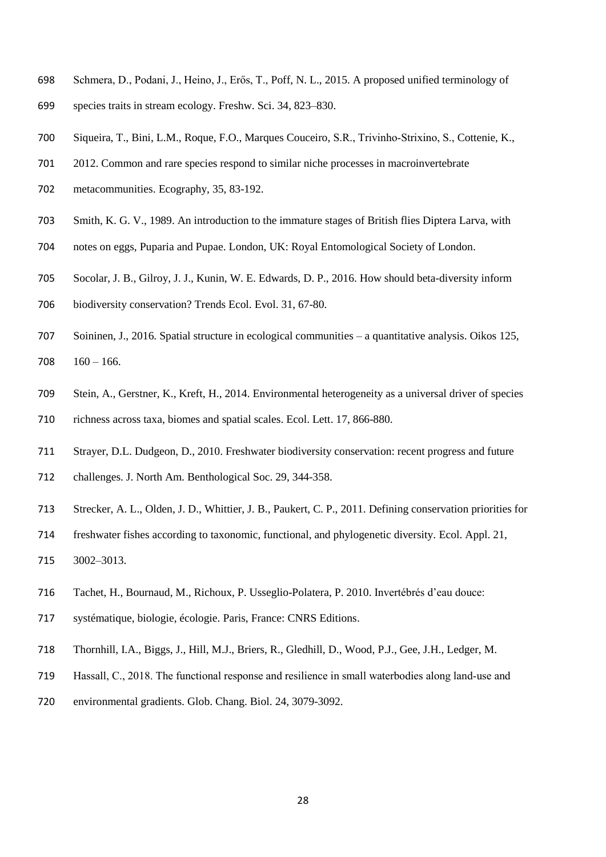- Schmera, D., Podani, J., Heino, J., Erős, T., Poff, N. L., 2015. A proposed unified terminology of
- species traits in stream ecology. Freshw. Sci. 34, 823–830.
- Siqueira, T., Bini, L.M., Roque, F.O., Marques Couceiro, S.R., Trivinho‐Strixino, S., Cottenie, K.,
- 2012. Common and rare species respond to similar niche processes in macroinvertebrate
- metacommunities. Ecography, 35, 83-192.
- Smith, K. G. V., 1989. An introduction to the immature stages of British flies Diptera Larva, with
- notes on eggs, Puparia and Pupae. London, UK: Royal Entomological Society of London.
- Socolar, J. B., Gilroy, J. J., Kunin, W. E. Edwards, D. P., 2016. How should beta-diversity inform
- biodiversity conservation? Trends Ecol. Evol. 31, 67-80.
- Soininen, J., 2016. Spatial structure in ecological communities a quantitative analysis. Oikos 125, 708  $160 - 166$ .
- Stein, A., Gerstner, K., Kreft, H., 2014. Environmental heterogeneity as a universal driver of species richness across taxa, biomes and spatial scales. Ecol. Lett. 17, 866-880.
- Strayer, D.L. Dudgeon, D., 2010. Freshwater biodiversity conservation: recent progress and future challenges. J. North Am. Benthological Soc. 29, 344-358.
- Strecker, A. L., Olden, J. D., Whittier, J. B., Paukert, C. P., 2011. Defining conservation priorities for
- freshwater fishes according to taxonomic, functional, and phylogenetic diversity. Ecol. Appl. 21, 3002–3013.
- Tachet, H., Bournaud, M., Richoux, P. Usseglio-Polatera, P. 2010. Invertébrés d'eau douce:
- systématique, biologie, écologie. Paris, France: CNRS Editions.
- Thornhill, I.A., Biggs, J., Hill, M.J., Briers, R., Gledhill, D., Wood, P.J., Gee, J.H., Ledger, M.
- Hassall, C., 2018. The functional response and resilience in small waterbodies along land‐use and
- environmental gradients. Glob. Chang. Biol. 24, 3079-3092.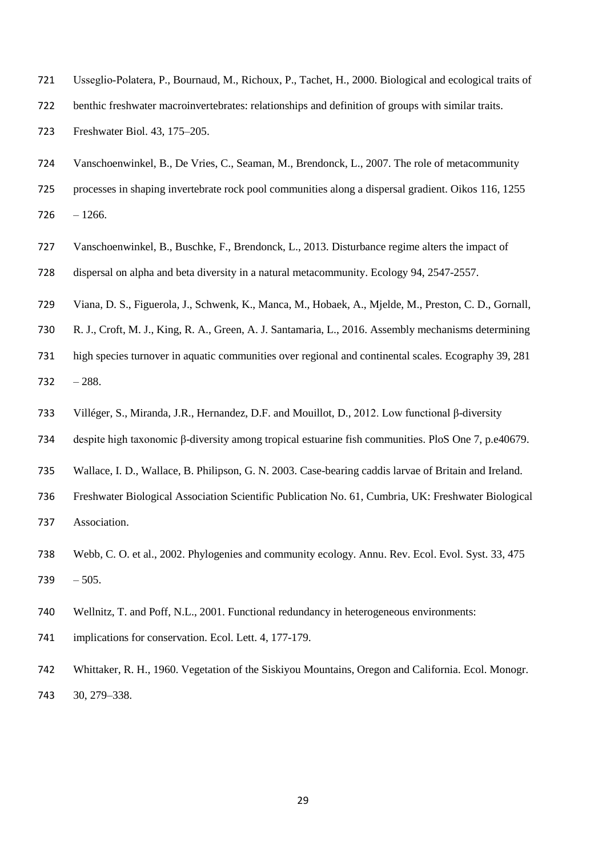- Usseglio‐Polatera, P., Bournaud, M., Richoux, P., Tachet, H., 2000. Biological and ecological traits of
- benthic freshwater macroinvertebrates: relationships and definition of groups with similar traits.
- Freshwater Biol. 43, 175–205.
- Vanschoenwinkel, B., De Vries, C., Seaman, M., Brendonck, L., 2007. The role of metacommunity
- processes in shaping invertebrate rock pool communities along a dispersal gradient. Oikos 116, 1255
- $726 1266.$
- Vanschoenwinkel, B., Buschke, F., Brendonck, L., 2013. Disturbance regime alters the impact of
- dispersal on alpha and beta diversity in a natural metacommunity. Ecology 94, 2547-2557.
- Viana, D. S., Figuerola, J., Schwenk, K., Manca, M., Hobaek, A., Mjelde, M., Preston, C. D., Gornall,
- R. J., Croft, M. J., King, R. A., Green, A. J. Santamaria, L., 2016. Assembly mechanisms determining
- high species turnover in aquatic communities over regional and continental scales. Ecography 39, 281 732  $-288$ .
- Villéger, S., Miranda, J.R., Hernandez, D.F. and Mouillot, D., 2012. Low functional β-diversity
- despite high taxonomic β-diversity among tropical estuarine fish communities. PloS One 7, p.e40679.
- Wallace, I. D., Wallace, B. Philipson, G. N. 2003. Case-bearing caddis larvae of Britain and Ireland.
- Freshwater Biological Association Scientific Publication No. 61, Cumbria, UK: Freshwater Biological Association.
- Webb, C. O. et al., 2002. Phylogenies and community ecology. Annu. Rev. Ecol. Evol. Syst. 33, 475 739  $-505$ .
- Wellnitz, T. and Poff, N.L., 2001. Functional redundancy in heterogeneous environments:
- 741 implications for conservation. Ecol. Lett. 4, 177-179.
- Whittaker, R. H., 1960. Vegetation of the Siskiyou Mountains, Oregon and California. Ecol. Monogr. 30, 279–338.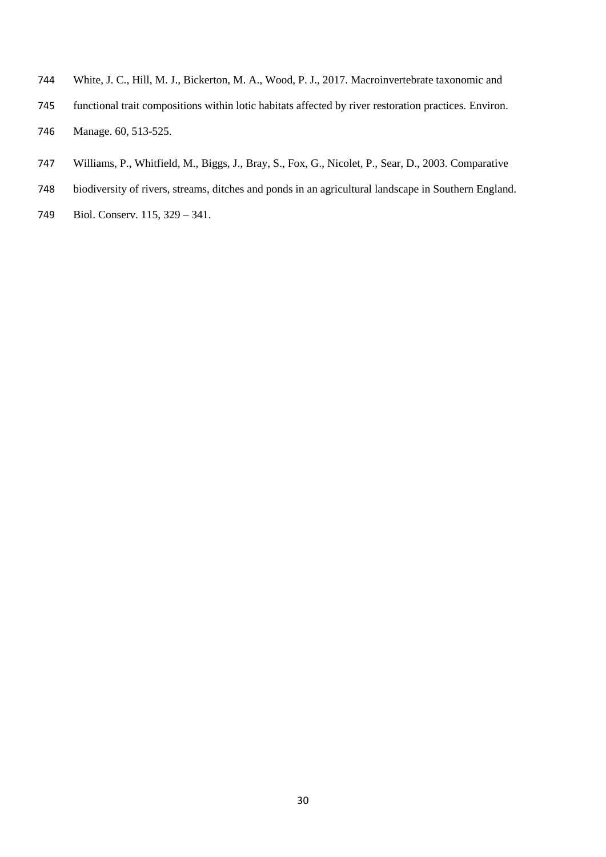- White, J. C., Hill, M. J., Bickerton, M. A., Wood, P. J., 2017. Macroinvertebrate taxonomic and
- functional trait compositions within lotic habitats affected by river restoration practices. Environ. Manage. 60, 513-525.
- Williams, P., Whitfield, M., Biggs, J., Bray, S., Fox, G., Nicolet, P., Sear, D., 2003. Comparative
- biodiversity of rivers, streams, ditches and ponds in an agricultural landscape in Southern England.
- Biol. Conserv. 115, 329 341.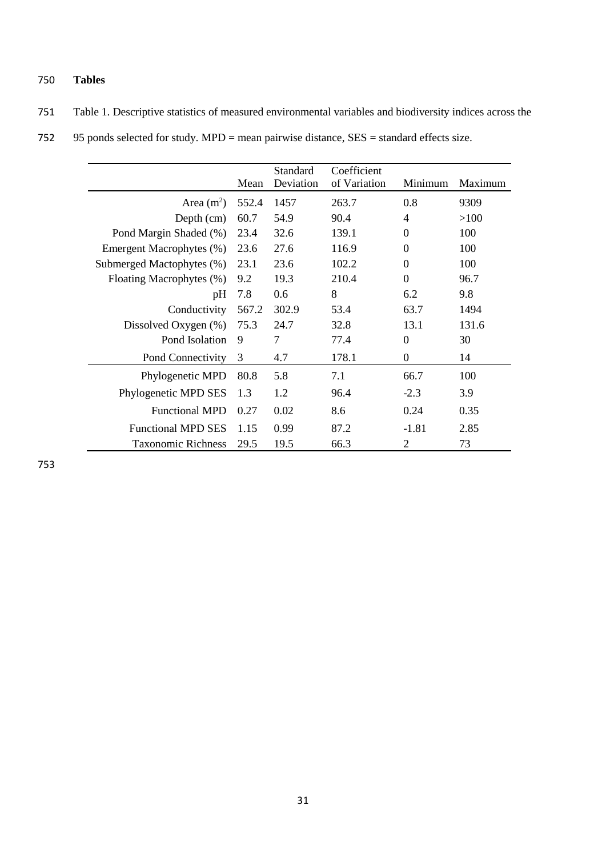## 750 **Tables**

| 751 Table 1. Descriptive statistics of measured environmental variables and biodiversity indices across the |  |
|-------------------------------------------------------------------------------------------------------------|--|
|-------------------------------------------------------------------------------------------------------------|--|

|  | 752 95 ponds selected for study. $MPD$ = mean pairwise distance, $SES$ = standard effects size. |  |  |  |  |
|--|-------------------------------------------------------------------------------------------------|--|--|--|--|
|--|-------------------------------------------------------------------------------------------------|--|--|--|--|

|                           | Mean  | Standard<br>Deviation | Coefficient<br>of Variation | Minimum          | Maximum |
|---------------------------|-------|-----------------------|-----------------------------|------------------|---------|
| Area $(m2)$               | 552.4 | 1457                  | 263.7                       | 0.8              | 9309    |
| Depth (cm)                | 60.7  | 54.9                  | 90.4                        | 4                | >100    |
| Pond Margin Shaded (%)    | 23.4  | 32.6                  | 139.1                       | $\theta$         | 100     |
| Emergent Macrophytes (%)  | 23.6  | 27.6                  | 116.9                       | $\boldsymbol{0}$ | 100     |
| Submerged Mactophytes (%) | 23.1  | 23.6                  | 102.2                       | $\boldsymbol{0}$ | 100     |
| Floating Macrophytes (%)  | 9.2   | 19.3                  | 210.4                       | $\overline{0}$   | 96.7    |
| pH                        | 7.8   | 0.6                   | 8                           | 6.2              | 9.8     |
| Conductivity              | 567.2 | 302.9                 | 53.4                        | 63.7             | 1494    |
| Dissolved Oxygen (%)      | 75.3  | 24.7                  | 32.8                        | 13.1             | 131.6   |
| Pond Isolation            | 9     | 7                     | 77.4                        | $\theta$         | 30      |
| Pond Connectivity         | 3     | 4.7                   | 178.1                       | $\boldsymbol{0}$ | 14      |
| Phylogenetic MPD          | 80.8  | 5.8                   | 7.1                         | 66.7             | 100     |
| Phylogenetic MPD SES      | 1.3   | 1.2                   | 96.4                        | $-2.3$           | 3.9     |
| <b>Functional MPD</b>     | 0.27  | 0.02                  | 8.6                         | 0.24             | 0.35    |
| <b>Functional MPD SES</b> | 1.15  | 0.99                  | 87.2                        | $-1.81$          | 2.85    |
| <b>Taxonomic Richness</b> | 29.5  | 19.5                  | 66.3                        | 2                | 73      |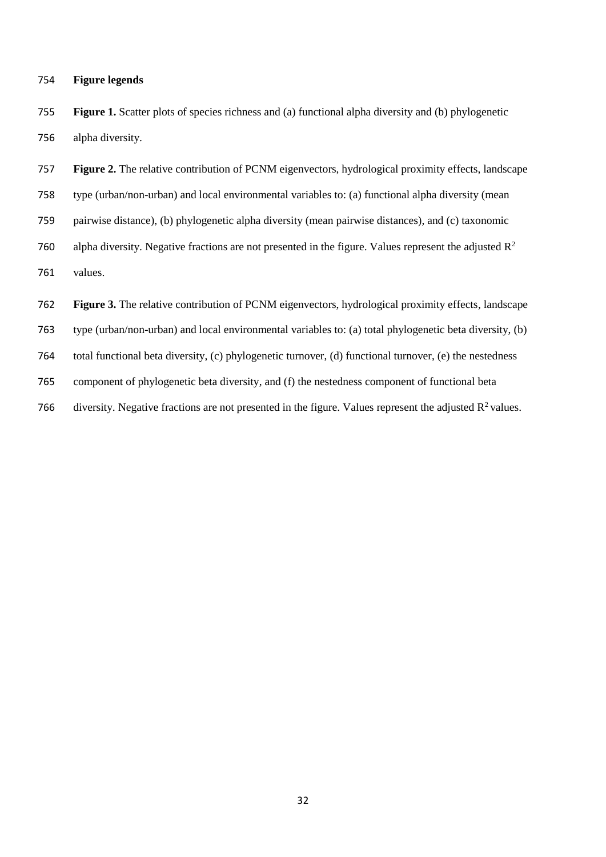#### **Figure legends**

 **Figure 1.** Scatter plots of species richness and (a) functional alpha diversity and (b) phylogenetic alpha diversity.

 **Figure 2.** The relative contribution of PCNM eigenvectors, hydrological proximity effects, landscape type (urban/non-urban) and local environmental variables to: (a) functional alpha diversity (mean pairwise distance), (b) phylogenetic alpha diversity (mean pairwise distances), and (c) taxonomic 760 alpha diversity. Negative fractions are not presented in the figure. Values represent the adjusted  $\mathbb{R}^2$  values. **Figure 3.** The relative contribution of PCNM eigenvectors, hydrological proximity effects, landscape type (urban/non-urban) and local environmental variables to: (a) total phylogenetic beta diversity, (b) total functional beta diversity, (c) phylogenetic turnover, (d) functional turnover, (e) the nestedness

component of phylogenetic beta diversity, and (f) the nestedness component of functional beta

766 diversity. Negative fractions are not presented in the figure. Values represent the adjusted  $R^2$  values.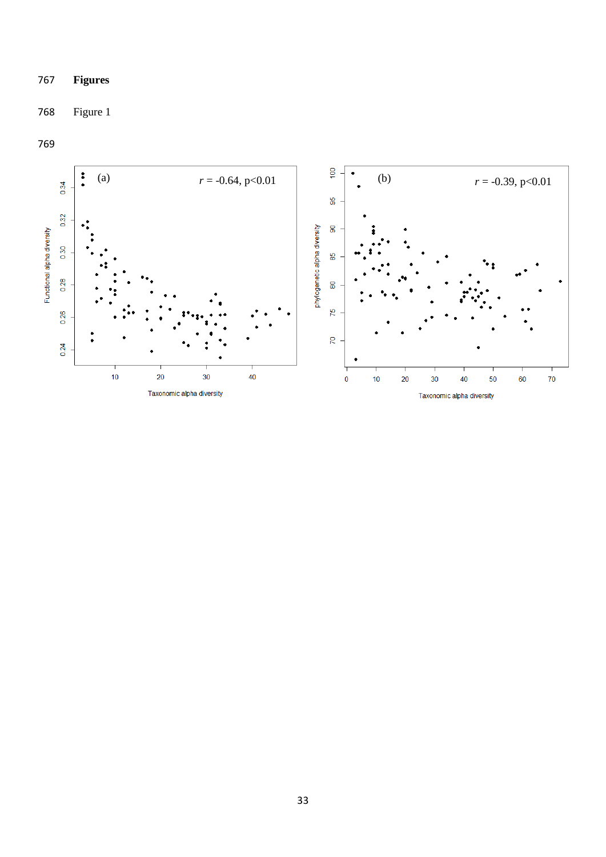## **Figures**

## Figure 1

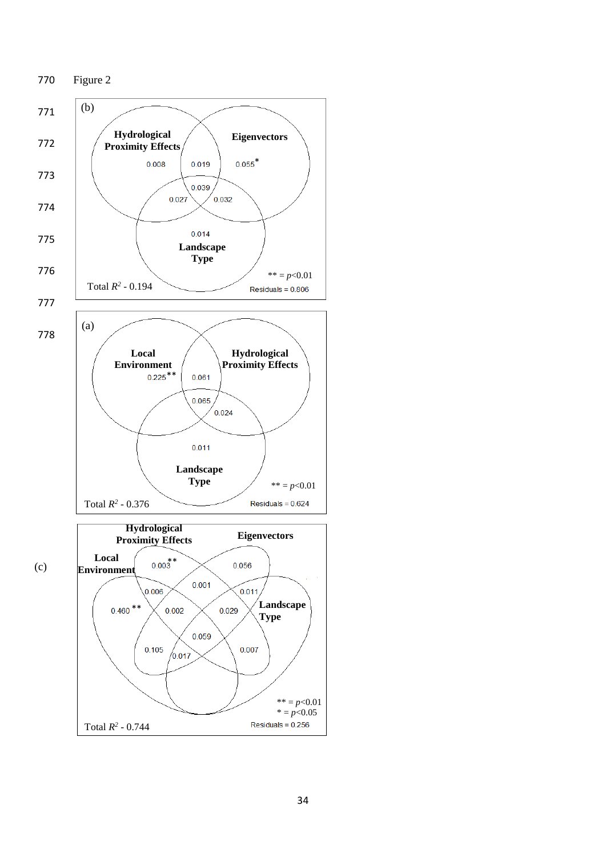